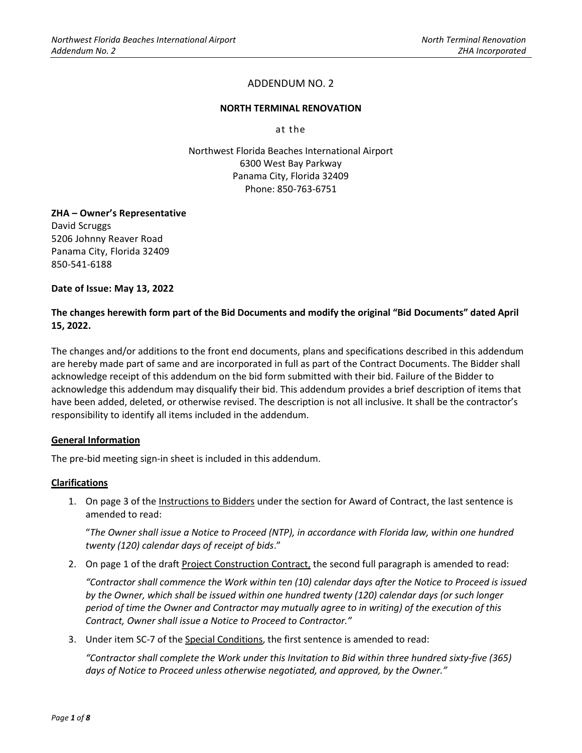#### **NORTH TERMINAL RENOVATION**

at the

Northwest Florida Beaches International Airport 6300 West Bay Parkway Panama City, Florida 32409 Phone: 850-763-6751

## **ZHA – Owner's Representative**

David Scruggs 5206 Johnny Reaver Road Panama City, Florida 32409 850-541-6188

**Date of Issue: May 13, 2022**

## **The changes herewith form part of the Bid Documents and modify the original "Bid Documents" dated April 15, 2022.**

The changes and/or additions to the front end documents, plans and specifications described in this addendum are hereby made part of same and are incorporated in full as part of the Contract Documents. The Bidder shall acknowledge receipt of this addendum on the bid form submitted with their bid. Failure of the Bidder to acknowledge this addendum may disqualify their bid. This addendum provides a brief description of items that have been added, deleted, or otherwise revised. The description is not all inclusive. It shall be the contractor's responsibility to identify all items included in the addendum.

## **General Information**

The pre-bid meeting sign-in sheet is included in this addendum.

#### **Clarifications**

1. On page 3 of the Instructions to Bidders under the section for Award of Contract, the last sentence is amended to read:

"*The Owner shall issue a Notice to Proceed (NTP), in accordance with Florida law, within one hundred twenty (120) calendar days of receipt of bids*."

2. On page 1 of the draft Project Construction Contract, the second full paragraph is amended to read:

*"Contractor shall commence the Work within ten (10) calendar days after the Notice to Proceed is issued by the Owner, which shall be issued within one hundred twenty (120) calendar days (or such longer period of time the Owner and Contractor may mutually agree to in writing) of the execution of this Contract, Owner shall issue a Notice to Proceed to Contractor."*

3. Under item SC-7 of the Special Conditions, the first sentence is amended to read:

*"Contractor shall complete the Work under this Invitation to Bid within three hundred sixty-five (365)*  days of Notice to Proceed unless otherwise negotiated, and approved, by the Owner."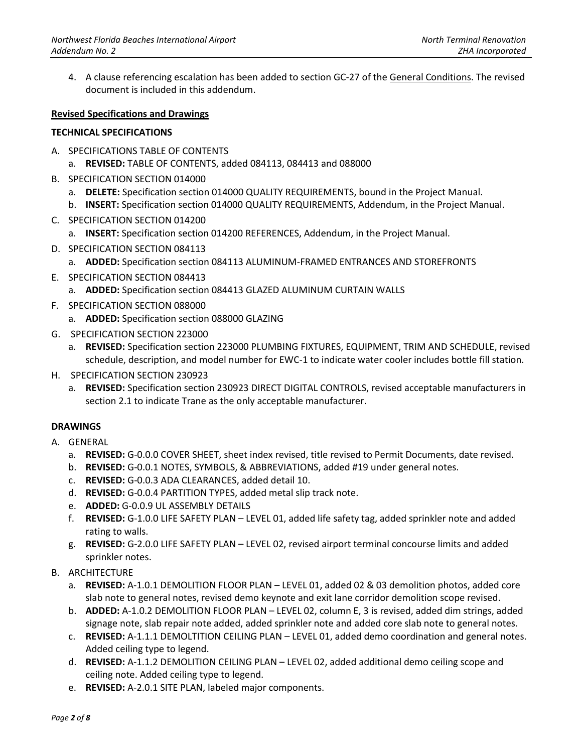4. A clause referencing escalation has been added to section GC-27 of the General Conditions. The revised document is included in this addendum.

#### **Revised Specifications and Drawings**

#### **TECHNICAL SPECIFICATIONS**

- A. SPECIFICATIONS TABLE OF CONTENTS
	- a. **REVISED:** TABLE OF CONTENTS, added 084113, 084413 and 088000
- B. SPECIFICATION SECTION 014000
	- a. **DELETE:** Specification section 014000 QUALITY REQUIREMENTS, bound in the Project Manual.
	- b. **INSERT:** Specification section 014000 QUALITY REQUIREMENTS, Addendum, in the Project Manual.
- C. SPECIFICATION SECTION 014200
	- a. **INSERT:** Specification section 014200 REFERENCES, Addendum, in the Project Manual.
- D. SPECIFICATION SECTION 084113
	- a. **ADDED:** Specification section 084113 ALUMINUM-FRAMED ENTRANCES AND STOREFRONTS
- E. SPECIFICATION SECTION 084413
	- a. **ADDED:** Specification section 084413 GLAZED ALUMINUM CURTAIN WALLS
- F. SPECIFICATION SECTION 088000
	- a. **ADDED:** Specification section 088000 GLAZING
- G. SPECIFICATION SECTION 223000
	- a. **REVISED:** Specification section 223000 PLUMBING FIXTURES, EQUIPMENT, TRIM AND SCHEDULE, revised schedule, description, and model number for EWC-1 to indicate water cooler includes bottle fill station.
- H. SPECIFICATION SECTION 230923
	- a. **REVISED:** Specification section 230923 DIRECT DIGITAL CONTROLS, revised acceptable manufacturers in section 2.1 to indicate Trane as the only acceptable manufacturer.

## **DRAWINGS**

- A. GENERAL
	- a. **REVISED:** G-0.0.0 COVER SHEET, sheet index revised, title revised to Permit Documents, date revised.
	- b. **REVISED:** G-0.0.1 NOTES, SYMBOLS, & ABBREVIATIONS, added #19 under general notes.
	- c. **REVISED:** G-0.0.3 ADA CLEARANCES, added detail 10.
	- d. **REVISED:** G-0.0.4 PARTITION TYPES, added metal slip track note.
	- e. **ADDED:** G-0.0.9 UL ASSEMBLY DETAILS
	- f. **REVISED:** G-1.0.0 LIFE SAFETY PLAN LEVEL 01, added life safety tag, added sprinkler note and added rating to walls.
	- g. **REVISED:** G-2.0.0 LIFE SAFETY PLAN LEVEL 02, revised airport terminal concourse limits and added sprinkler notes.
- B. ARCHITECTURE
	- a. **REVISED:** A-1.0.1 DEMOLITION FLOOR PLAN LEVEL 01, added 02 & 03 demolition photos, added core slab note to general notes, revised demo keynote and exit lane corridor demolition scope revised.
	- b. **ADDED:** A-1.0.2 DEMOLITION FLOOR PLAN LEVEL 02, column E, 3 is revised, added dim strings, added signage note, slab repair note added, added sprinkler note and added core slab note to general notes.
	- c. **REVISED:** A-1.1.1 DEMOLTITION CEILING PLAN LEVEL 01, added demo coordination and general notes. Added ceiling type to legend.
	- d. **REVISED:** A-1.1.2 DEMOLITION CEILING PLAN LEVEL 02, added additional demo ceiling scope and ceiling note. Added ceiling type to legend.
	- e. **REVISED:** A-2.0.1 SITE PLAN, labeled major components.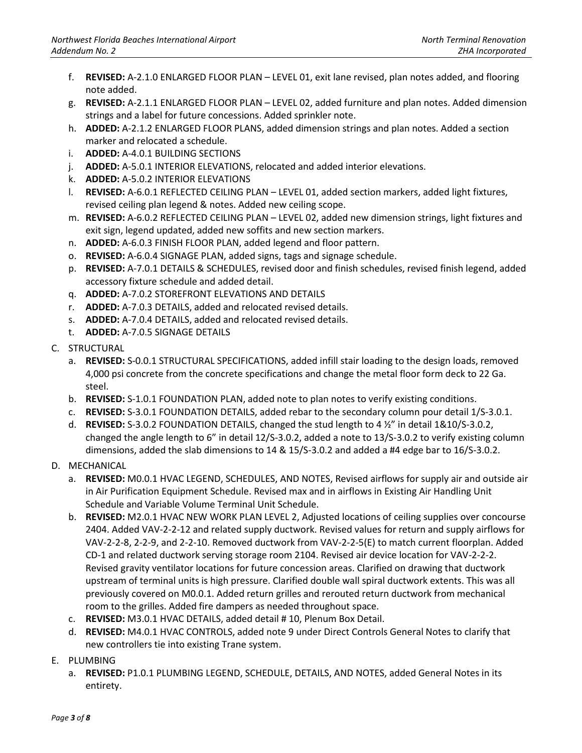- f. **REVISED:** A-2.1.0 ENLARGED FLOOR PLAN LEVEL 01, exit lane revised, plan notes added, and flooring note added.
- g. **REVISED:** A-2.1.1 ENLARGED FLOOR PLAN LEVEL 02, added furniture and plan notes. Added dimension strings and a label for future concessions. Added sprinkler note.
- h. **ADDED:** A-2.1.2 ENLARGED FLOOR PLANS, added dimension strings and plan notes. Added a section marker and relocated a schedule.
- i. **ADDED:** A-4.0.1 BUILDING SECTIONS
- j. **ADDED:** A-5.0.1 INTERIOR ELEVATIONS, relocated and added interior elevations.
- k. **ADDED:** A-5.0.2 INTERIOR ELEVATIONS
- l. **REVISED:** A-6.0.1 REFLECTED CEILING PLAN LEVEL 01, added section markers, added light fixtures, revised ceiling plan legend & notes. Added new ceiling scope.
- m. **REVISED:** A-6.0.2 REFLECTED CEILING PLAN LEVEL 02, added new dimension strings, light fixtures and exit sign, legend updated, added new soffits and new section markers.
- n. **ADDED:** A-6.0.3 FINISH FLOOR PLAN, added legend and floor pattern.
- o. **REVISED:** A-6.0.4 SIGNAGE PLAN, added signs, tags and signage schedule.
- p. **REVISED:** A-7.0.1 DETAILS & SCHEDULES, revised door and finish schedules, revised finish legend, added accessory fixture schedule and added detail.
- q. **ADDED:** A-7.0.2 STOREFRONT ELEVATIONS AND DETAILS
- r. **ADDED:** A-7.0.3 DETAILS, added and relocated revised details.
- s. **ADDED:** A-7.0.4 DETAILS, added and relocated revised details.
- t. **ADDED:** A-7.0.5 SIGNAGE DETAILS
- C. STRUCTURAL
	- a. **REVISED:** S-0.0.1 STRUCTURAL SPECIFICATIONS, added infill stair loading to the design loads, removed 4,000 psi concrete from the concrete specifications and change the metal floor form deck to 22 Ga. steel.
	- b. **REVISED:** S-1.0.1 FOUNDATION PLAN, added note to plan notes to verify existing conditions.
	- c. **REVISED:** S-3.0.1 FOUNDATION DETAILS, added rebar to the secondary column pour detail 1/S-3.0.1.
	- d. **REVISED:** S-3.0.2 FOUNDATION DETAILS, changed the stud length to 4 ½" in detail 1&10/S-3.0.2, changed the angle length to 6" in detail 12/S-3.0.2, added a note to 13/S-3.0.2 to verify existing column dimensions, added the slab dimensions to 14 & 15/S-3.0.2 and added a #4 edge bar to 16/S-3.0.2.

## D. MECHANICAL

- a. **REVISED:** M0.0.1 HVAC LEGEND, SCHEDULES, AND NOTES, Revised airflows for supply air and outside air in Air Purification Equipment Schedule. Revised max and in airflows in Existing Air Handling Unit Schedule and Variable Volume Terminal Unit Schedule.
- b. **REVISED:** M2.0.1 HVAC NEW WORK PLAN LEVEL 2, Adjusted locations of ceiling supplies over concourse 2404. Added VAV-2-2-12 and related supply ductwork. Revised values for return and supply airflows for VAV-2-2-8, 2-2-9, and 2-2-10. Removed ductwork from VAV-2-2-5(E) to match current floorplan. Added CD-1 and related ductwork serving storage room 2104. Revised air device location for VAV-2-2-2. Revised gravity ventilator locations for future concession areas. Clarified on drawing that ductwork upstream of terminal units is high pressure. Clarified double wall spiral ductwork extents. This was all previously covered on M0.0.1. Added return grilles and rerouted return ductwork from mechanical room to the grilles. Added fire dampers as needed throughout space.
- c. **REVISED:** M3.0.1 HVAC DETAILS, added detail # 10, Plenum Box Detail.
- d. **REVISED:** M4.0.1 HVAC CONTROLS, added note 9 under Direct Controls General Notes to clarify that new controllers tie into existing Trane system.
- E. PLUMBING
	- a. **REVISED:** P1.0.1 PLUMBING LEGEND, SCHEDULE, DETAILS, AND NOTES, added General Notes in its entirety.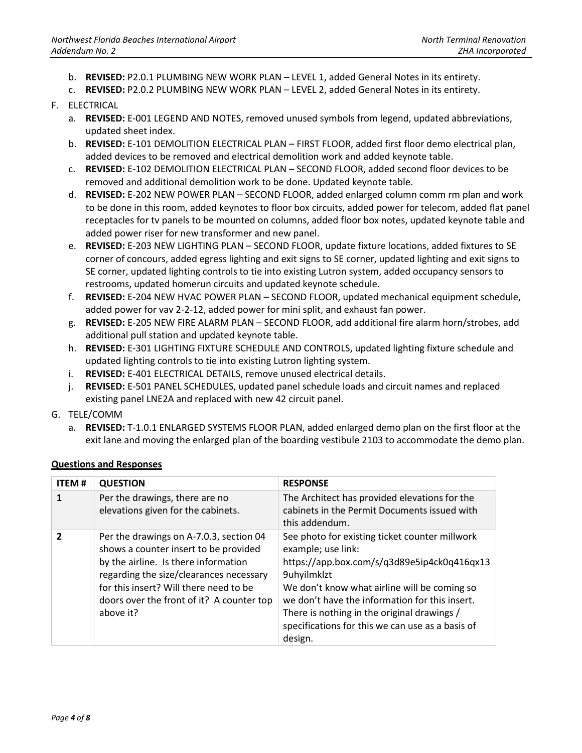- b. **REVISED:** P2.0.1 PLUMBING NEW WORK PLAN LEVEL 1, added General Notes in its entirety.
- c. **REVISED:** P2.0.2 PLUMBING NEW WORK PLAN LEVEL 2, added General Notes in its entirety.

## F. ELECTRICAL

- a. **REVISED:** E-001 LEGEND AND NOTES, removed unused symbols from legend, updated abbreviations, updated sheet index.
- b. **REVISED:** E-101 DEMOLITION ELECTRICAL PLAN FIRST FLOOR, added first floor demo electrical plan, added devices to be removed and electrical demolition work and added keynote table.
- c. **REVISED:** E-102 DEMOLITION ELECTRICAL PLAN SECOND FLOOR, added second floor devices to be removed and additional demolition work to be done. Updated keynote table.
- d. **REVISED:** E-202 NEW POWER PLAN SECOND FLOOR, added enlarged column comm rm plan and work to be done in this room, added keynotes to floor box circuits, added power for telecom, added flat panel receptacles for tv panels to be mounted on columns, added floor box notes, updated keynote table and added power riser for new transformer and new panel.
- e. **REVISED:** E-203 NEW LIGHTING PLAN SECOND FLOOR, update fixture locations, added fixtures to SE corner of concours, added egress lighting and exit signs to SE corner, updated lighting and exit signs to SE corner, updated lighting controls to tie into existing Lutron system, added occupancy sensors to restrooms, updated homerun circuits and updated keynote schedule.
- f. **REVISED:** E-204 NEW HVAC POWER PLAN SECOND FLOOR, updated mechanical equipment schedule, added power for vav 2-2-12, added power for mini split, and exhaust fan power.
- g. **REVISED:** E-205 NEW FIRE ALARM PLAN SECOND FLOOR, add additional fire alarm horn/strobes, add additional pull station and updated keynote table.
- h. **REVISED:** E-301 LIGHTING FIXTURE SCHEDULE AND CONTROLS, updated lighting fixture schedule and updated lighting controls to tie into existing Lutron lighting system.
- i. **REVISED:** E-401 ELECTRICAL DETAILS, remove unused electrical details.
- j. **REVISED:** E-501 PANEL SCHEDULES, updated panel schedule loads and circuit names and replaced existing panel LNE2A and replaced with new 42 circuit panel.
- G. TELE/COMM
	- a. **REVISED:** T-1.0.1 ENLARGED SYSTEMS FLOOR PLAN, added enlarged demo plan on the first floor at the exit lane and moving the enlarged plan of the boarding vestibule 2103 to accommodate the demo plan.

| <b>ITEM#</b> | <b>QUESTION</b>                                                                                                                                                                                                                                                         | <b>RESPONSE</b>                                                                                                                                                                                                                                                                                                                                    |
|--------------|-------------------------------------------------------------------------------------------------------------------------------------------------------------------------------------------------------------------------------------------------------------------------|----------------------------------------------------------------------------------------------------------------------------------------------------------------------------------------------------------------------------------------------------------------------------------------------------------------------------------------------------|
| 1            | Per the drawings, there are no<br>elevations given for the cabinets.                                                                                                                                                                                                    | The Architect has provided elevations for the<br>cabinets in the Permit Documents issued with<br>this addendum.                                                                                                                                                                                                                                    |
| $\mathbf{z}$ | Per the drawings on A-7.0.3, section 04<br>shows a counter insert to be provided<br>by the airline. Is there information<br>regarding the size/clearances necessary<br>for this insert? Will there need to be<br>doors over the front of it? A counter top<br>above it? | See photo for existing ticket counter millwork<br>example; use link:<br>https://app.box.com/s/q3d89e5ip4ck0q416qx13<br>9uhyilmklzt<br>We don't know what airline will be coming so<br>we don't have the information for this insert.<br>There is nothing in the original drawings /<br>specifications for this we can use as a basis of<br>design. |

## **Questions and Responses**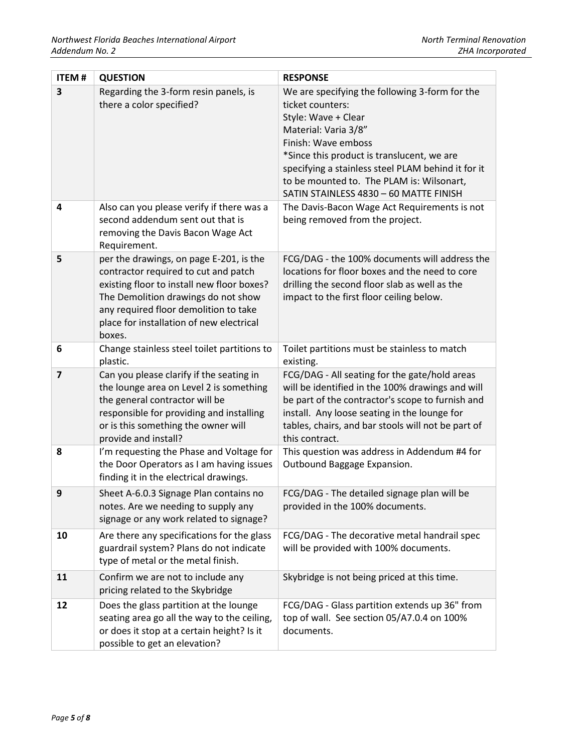| <b>ITEM#</b>   | <b>QUESTION</b>                                                                                                                                                                                                                                                     | <b>RESPONSE</b>                                                                                                                                                                                                                                                                                                                     |
|----------------|---------------------------------------------------------------------------------------------------------------------------------------------------------------------------------------------------------------------------------------------------------------------|-------------------------------------------------------------------------------------------------------------------------------------------------------------------------------------------------------------------------------------------------------------------------------------------------------------------------------------|
| 3              | Regarding the 3-form resin panels, is<br>there a color specified?                                                                                                                                                                                                   | We are specifying the following 3-form for the<br>ticket counters:<br>Style: Wave + Clear<br>Material: Varia 3/8"<br>Finish: Wave emboss<br>*Since this product is translucent, we are<br>specifying a stainless steel PLAM behind it for it<br>to be mounted to. The PLAM is: Wilsonart,<br>SATIN STAINLESS 4830 - 60 MATTE FINISH |
| 4              | Also can you please verify if there was a<br>second addendum sent out that is<br>removing the Davis Bacon Wage Act<br>Requirement.                                                                                                                                  | The Davis-Bacon Wage Act Requirements is not<br>being removed from the project.                                                                                                                                                                                                                                                     |
| 5              | per the drawings, on page E-201, is the<br>contractor required to cut and patch<br>existing floor to install new floor boxes?<br>The Demolition drawings do not show<br>any required floor demolition to take<br>place for installation of new electrical<br>boxes. | FCG/DAG - the 100% documents will address the<br>locations for floor boxes and the need to core<br>drilling the second floor slab as well as the<br>impact to the first floor ceiling below.                                                                                                                                        |
| 6              | Change stainless steel toilet partitions to<br>plastic.                                                                                                                                                                                                             | Toilet partitions must be stainless to match<br>existing.                                                                                                                                                                                                                                                                           |
| $\overline{7}$ | Can you please clarify if the seating in<br>the lounge area on Level 2 is something<br>the general contractor will be<br>responsible for providing and installing<br>or is this something the owner will<br>provide and install?                                    | FCG/DAG - All seating for the gate/hold areas<br>will be identified in the 100% drawings and will<br>be part of the contractor's scope to furnish and<br>install. Any loose seating in the lounge for<br>tables, chairs, and bar stools will not be part of<br>this contract.                                                       |
| 8              | I'm requesting the Phase and Voltage for<br>the Door Operators as I am having issues<br>finding it in the electrical drawings.                                                                                                                                      | This question was address in Addendum #4 for<br>Outbound Baggage Expansion.                                                                                                                                                                                                                                                         |
| 9              | Sheet A-6.0.3 Signage Plan contains no<br>notes. Are we needing to supply any<br>signage or any work related to signage?                                                                                                                                            | FCG/DAG - The detailed signage plan will be<br>provided in the 100% documents.                                                                                                                                                                                                                                                      |
| 10             | Are there any specifications for the glass<br>guardrail system? Plans do not indicate<br>type of metal or the metal finish.                                                                                                                                         | FCG/DAG - The decorative metal handrail spec<br>will be provided with 100% documents.                                                                                                                                                                                                                                               |
| 11             | Confirm we are not to include any<br>pricing related to the Skybridge                                                                                                                                                                                               | Skybridge is not being priced at this time.                                                                                                                                                                                                                                                                                         |
| 12             | Does the glass partition at the lounge<br>seating area go all the way to the ceiling,<br>or does it stop at a certain height? Is it<br>possible to get an elevation?                                                                                                | FCG/DAG - Glass partition extends up 36" from<br>top of wall. See section 05/A7.0.4 on 100%<br>documents.                                                                                                                                                                                                                           |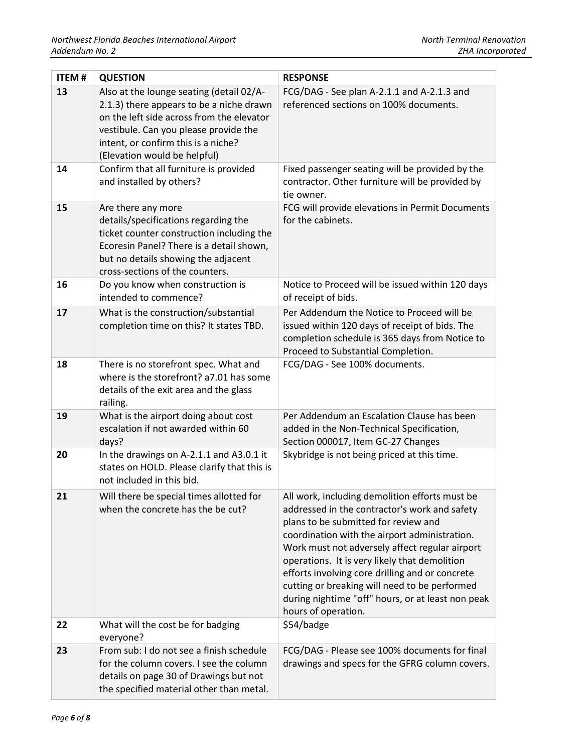| <b>ITEM#</b> | <b>QUESTION</b>                                                                                                                                                                                                                                   | <b>RESPONSE</b>                                                                                                                                                                                                                                                                                                                                                                                                                                                             |
|--------------|---------------------------------------------------------------------------------------------------------------------------------------------------------------------------------------------------------------------------------------------------|-----------------------------------------------------------------------------------------------------------------------------------------------------------------------------------------------------------------------------------------------------------------------------------------------------------------------------------------------------------------------------------------------------------------------------------------------------------------------------|
| 13           | Also at the lounge seating (detail 02/A-<br>2.1.3) there appears to be a niche drawn<br>on the left side across from the elevator<br>vestibule. Can you please provide the<br>intent, or confirm this is a niche?<br>(Elevation would be helpful) | FCG/DAG - See plan A-2.1.1 and A-2.1.3 and<br>referenced sections on 100% documents.                                                                                                                                                                                                                                                                                                                                                                                        |
| 14           | Confirm that all furniture is provided<br>and installed by others?                                                                                                                                                                                | Fixed passenger seating will be provided by the<br>contractor. Other furniture will be provided by<br>tie owner.                                                                                                                                                                                                                                                                                                                                                            |
| 15           | Are there any more<br>details/specifications regarding the<br>ticket counter construction including the<br>Ecoresin Panel? There is a detail shown,<br>but no details showing the adjacent<br>cross-sections of the counters.                     | FCG will provide elevations in Permit Documents<br>for the cabinets.                                                                                                                                                                                                                                                                                                                                                                                                        |
| 16           | Do you know when construction is<br>intended to commence?                                                                                                                                                                                         | Notice to Proceed will be issued within 120 days<br>of receipt of bids.                                                                                                                                                                                                                                                                                                                                                                                                     |
| 17           | What is the construction/substantial<br>completion time on this? It states TBD.                                                                                                                                                                   | Per Addendum the Notice to Proceed will be<br>issued within 120 days of receipt of bids. The<br>completion schedule is 365 days from Notice to<br>Proceed to Substantial Completion.                                                                                                                                                                                                                                                                                        |
| 18           | There is no storefront spec. What and<br>where is the storefront? a7.01 has some<br>details of the exit area and the glass<br>railing.                                                                                                            | FCG/DAG - See 100% documents.                                                                                                                                                                                                                                                                                                                                                                                                                                               |
| 19           | What is the airport doing about cost<br>escalation if not awarded within 60<br>days?                                                                                                                                                              | Per Addendum an Escalation Clause has been<br>added in the Non-Technical Specification,<br>Section 000017, Item GC-27 Changes                                                                                                                                                                                                                                                                                                                                               |
| 20           | In the drawings on A-2.1.1 and A3.0.1 it<br>states on HOLD. Please clarify that this is<br>not included in this bid.                                                                                                                              | Skybridge is not being priced at this time.                                                                                                                                                                                                                                                                                                                                                                                                                                 |
| 21           | Will there be special times allotted for<br>when the concrete has the be cut?                                                                                                                                                                     | All work, including demolition efforts must be<br>addressed in the contractor's work and safety<br>plans to be submitted for review and<br>coordination with the airport administration.<br>Work must not adversely affect regular airport<br>operations. It is very likely that demolition<br>efforts involving core drilling and or concrete<br>cutting or breaking will need to be performed<br>during nightime "off" hours, or at least non peak<br>hours of operation. |
| 22           | What will the cost be for badging<br>everyone?                                                                                                                                                                                                    | \$54/badge                                                                                                                                                                                                                                                                                                                                                                                                                                                                  |
| 23           | From sub: I do not see a finish schedule<br>for the column covers. I see the column<br>details on page 30 of Drawings but not<br>the specified material other than metal.                                                                         | FCG/DAG - Please see 100% documents for final<br>drawings and specs for the GFRG column covers.                                                                                                                                                                                                                                                                                                                                                                             |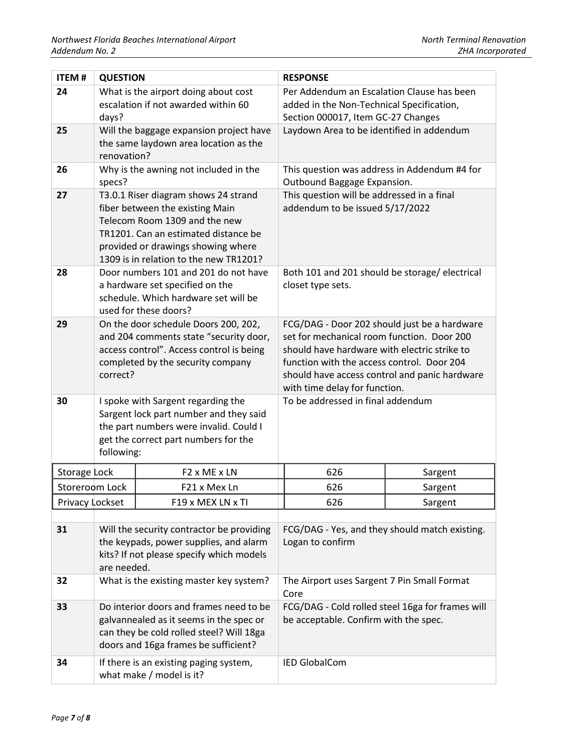| <b>ITEM#</b>    | <b>QUESTION</b>                                                                                                                                                                                                                  |                                                                                                                                                                        | <b>RESPONSE</b>                                                                                                                                                                                                                                                            |         |
|-----------------|----------------------------------------------------------------------------------------------------------------------------------------------------------------------------------------------------------------------------------|------------------------------------------------------------------------------------------------------------------------------------------------------------------------|----------------------------------------------------------------------------------------------------------------------------------------------------------------------------------------------------------------------------------------------------------------------------|---------|
| 24              | days?                                                                                                                                                                                                                            | What is the airport doing about cost<br>escalation if not awarded within 60                                                                                            | Per Addendum an Escalation Clause has been<br>added in the Non-Technical Specification,<br>Section 000017, Item GC-27 Changes                                                                                                                                              |         |
| 25              | renovation?                                                                                                                                                                                                                      | Will the baggage expansion project have<br>the same laydown area location as the                                                                                       | Laydown Area to be identified in addendum                                                                                                                                                                                                                                  |         |
| 26              | Why is the awning not included in the<br>specs?                                                                                                                                                                                  |                                                                                                                                                                        | This question was address in Addendum #4 for<br>Outbound Baggage Expansion.                                                                                                                                                                                                |         |
| 27              | T3.0.1 Riser diagram shows 24 strand<br>fiber between the existing Main<br>Telecom Room 1309 and the new<br>TR1201. Can an estimated distance be<br>provided or drawings showing where<br>1309 is in relation to the new TR1201? |                                                                                                                                                                        | This question will be addressed in a final<br>addendum to be issued 5/17/2022                                                                                                                                                                                              |         |
| 28              | Door numbers 101 and 201 do not have<br>a hardware set specified on the<br>schedule. Which hardware set will be<br>used for these doors?                                                                                         |                                                                                                                                                                        | Both 101 and 201 should be storage/ electrical<br>closet type sets.                                                                                                                                                                                                        |         |
| 29              | On the door schedule Doors 200, 202,<br>and 204 comments state "security door,<br>access control". Access control is being<br>completed by the security company<br>correct?                                                      |                                                                                                                                                                        | FCG/DAG - Door 202 should just be a hardware<br>set for mechanical room function. Door 200<br>should have hardware with electric strike to<br>function with the access control. Door 204<br>should have access control and panic hardware<br>with time delay for function. |         |
| 30              | I spoke with Sargent regarding the<br>Sargent lock part number and they said<br>the part numbers were invalid. Could I<br>get the correct part numbers for the<br>following:                                                     |                                                                                                                                                                        | To be addressed in final addendum                                                                                                                                                                                                                                          |         |
| Storage Lock    |                                                                                                                                                                                                                                  | F <sub>2</sub> x ME x LN                                                                                                                                               | 626                                                                                                                                                                                                                                                                        | Sargent |
| Storeroom Lock  |                                                                                                                                                                                                                                  | F21 x Mex Ln                                                                                                                                                           | 626                                                                                                                                                                                                                                                                        | Sargent |
| Privacy Lockset |                                                                                                                                                                                                                                  | F19 x MEX LN x TI                                                                                                                                                      | 626                                                                                                                                                                                                                                                                        | Sargent |
| 31              | Will the security contractor be providing<br>the keypads, power supplies, and alarm<br>kits? If not please specify which models<br>are needed.                                                                                   |                                                                                                                                                                        | FCG/DAG - Yes, and they should match existing.<br>Logan to confirm                                                                                                                                                                                                         |         |
| 32              |                                                                                                                                                                                                                                  | What is the existing master key system?                                                                                                                                | The Airport uses Sargent 7 Pin Small Format<br>Core                                                                                                                                                                                                                        |         |
| 33              |                                                                                                                                                                                                                                  | Do interior doors and frames need to be<br>galvannealed as it seems in the spec or<br>can they be cold rolled steel? Will 18ga<br>doors and 16ga frames be sufficient? | FCG/DAG - Cold rolled steel 16ga for frames will<br>be acceptable. Confirm with the spec.                                                                                                                                                                                  |         |
| 34              |                                                                                                                                                                                                                                  | If there is an existing paging system,<br>what make / model is it?                                                                                                     | <b>IED GlobalCom</b>                                                                                                                                                                                                                                                       |         |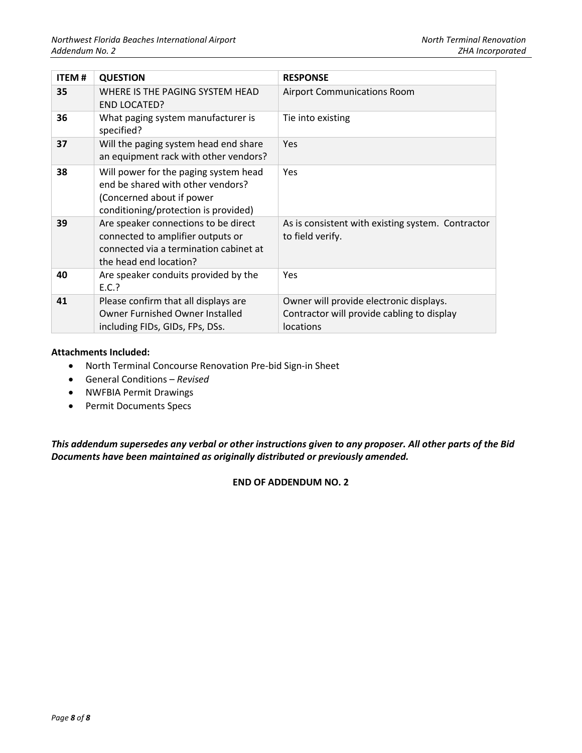| <b>ITEM#</b> | <b>QUESTION</b>                                                                                                                                 | <b>RESPONSE</b>                                                                                    |
|--------------|-------------------------------------------------------------------------------------------------------------------------------------------------|----------------------------------------------------------------------------------------------------|
| 35           | WHERE IS THE PAGING SYSTEM HEAD<br><b>END LOCATED?</b>                                                                                          | <b>Airport Communications Room</b>                                                                 |
| 36           | What paging system manufacturer is<br>specified?                                                                                                | Tie into existing                                                                                  |
| 37           | Will the paging system head end share<br>an equipment rack with other vendors?                                                                  | <b>Yes</b>                                                                                         |
| 38           | Will power for the paging system head<br>end be shared with other vendors?<br>(Concerned about if power<br>conditioning/protection is provided) | <b>Yes</b>                                                                                         |
| 39           | Are speaker connections to be direct<br>connected to amplifier outputs or<br>connected via a termination cabinet at<br>the head end location?   | As is consistent with existing system. Contractor<br>to field verify.                              |
| 40           | Are speaker conduits provided by the<br>E.C.                                                                                                    | <b>Yes</b>                                                                                         |
| 41           | Please confirm that all displays are<br>Owner Furnished Owner Installed<br>including FIDs, GIDs, FPs, DSs.                                      | Owner will provide electronic displays.<br>Contractor will provide cabling to display<br>locations |

#### **Attachments Included:**

- North Terminal Concourse Renovation Pre-bid Sign-in Sheet
- General Conditions *Revised*
- NWFBIA Permit Drawings
- Permit Documents Specs

*This addendum supersedes any verbal or other instructions given to any proposer. All other parts of the Bid Documents have been maintained as originally distributed or previously amended.*

**END OF ADDENDUM NO. 2**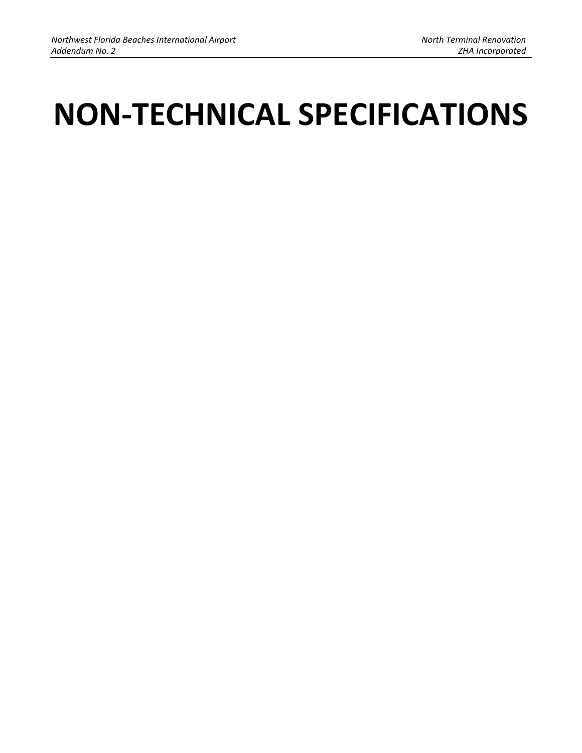# **NON-TECHNICAL SPECIFICATIONS**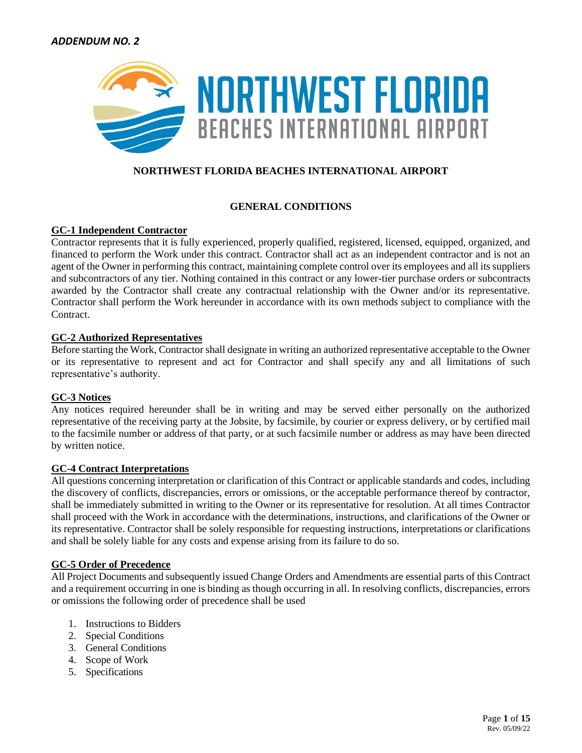

## **NORTHWEST FLORIDA BEACHES INTERNATIONAL AIRPORT**

## **GENERAL CONDITIONS**

## **GC-1 Independent Contractor**

Contractor represents that it is fully experienced, properly qualified, registered, licensed, equipped, organized, and financed to perform the Work under this contract. Contractor shall act as an independent contractor and is not an agent of the Owner in performing this contract, maintaining complete control over its employees and all its suppliers and subcontractors of any tier. Nothing contained in this contract or any lower-tier purchase orders or subcontracts awarded by the Contractor shall create any contractual relationship with the Owner and/or its representative. Contractor shall perform the Work hereunder in accordance with its own methods subject to compliance with the Contract.

## **GC-2 Authorized Representatives**

Before starting the Work, Contractor shall designate in writing an authorized representative acceptable to the Owner or its representative to represent and act for Contractor and shall specify any and all limitations of such representative's authority.

## **GC-3 Notices**

Any notices required hereunder shall be in writing and may be served either personally on the authorized representative of the receiving party at the Jobsite, by facsimile, by courier or express delivery, or by certified mail to the facsimile number or address of that party, or at such facsimile number or address as may have been directed by written notice.

## **GC-4 Contract Interpretations**

All questions concerning interpretation or clarification of this Contract or applicable standards and codes, including the discovery of conflicts, discrepancies, errors or omissions, or the acceptable performance thereof by contractor, shall be immediately submitted in writing to the Owner or its representative for resolution. At all times Contractor shall proceed with the Work in accordance with the determinations, instructions, and clarifications of the Owner or its representative. Contractor shall be solely responsible for requesting instructions, interpretations or clarifications and shall be solely liable for any costs and expense arising from its failure to do so.

## **GC-5 Order of Precedence**

All Project Documents and subsequently issued Change Orders and Amendments are essential parts of this Contract and a requirement occurring in one is binding as though occurring in all. In resolving conflicts, discrepancies, errors or omissions the following order of precedence shall be used

- 1. Instructions to Bidders
- 2. Special Conditions
- 3. General Conditions
- 4. Scope of Work
- 5. Specifications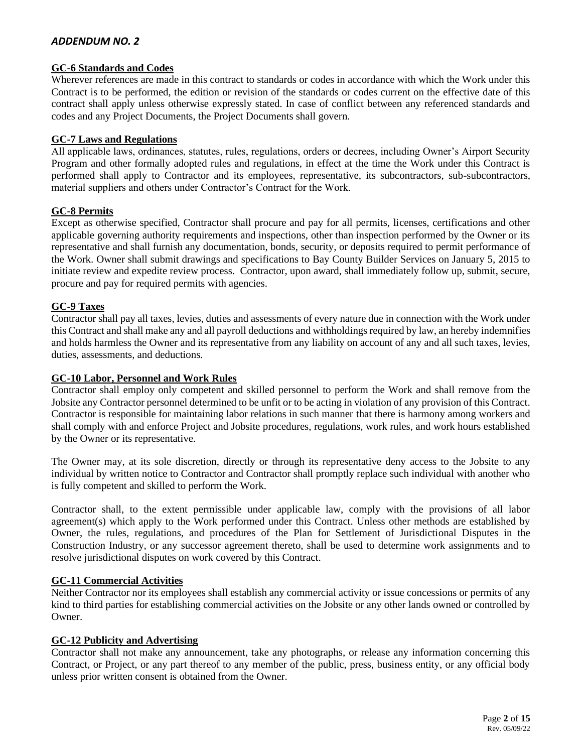#### **GC-6 Standards and Codes**

Wherever references are made in this contract to standards or codes in accordance with which the Work under this Contract is to be performed, the edition or revision of the standards or codes current on the effective date of this contract shall apply unless otherwise expressly stated. In case of conflict between any referenced standards and codes and any Project Documents, the Project Documents shall govern.

#### **GC-7 Laws and Regulations**

All applicable laws, ordinances, statutes, rules, regulations, orders or decrees, including Owner's Airport Security Program and other formally adopted rules and regulations, in effect at the time the Work under this Contract is performed shall apply to Contractor and its employees, representative, its subcontractors, sub-subcontractors, material suppliers and others under Contractor's Contract for the Work.

## **GC-8 Permits**

Except as otherwise specified, Contractor shall procure and pay for all permits, licenses, certifications and other applicable governing authority requirements and inspections, other than inspection performed by the Owner or its representative and shall furnish any documentation, bonds, security, or deposits required to permit performance of the Work. Owner shall submit drawings and specifications to Bay County Builder Services on January 5, 2015 to initiate review and expedite review process. Contractor, upon award, shall immediately follow up, submit, secure, procure and pay for required permits with agencies.

## **GC-9 Taxes**

Contractor shall pay all taxes, levies, duties and assessments of every nature due in connection with the Work under this Contract and shall make any and all payroll deductions and withholdings required by law, an hereby indemnifies and holds harmless the Owner and its representative from any liability on account of any and all such taxes, levies, duties, assessments, and deductions.

#### **GC-10 Labor, Personnel and Work Rules**

Contractor shall employ only competent and skilled personnel to perform the Work and shall remove from the Jobsite any Contractor personnel determined to be unfit or to be acting in violation of any provision of this Contract. Contractor is responsible for maintaining labor relations in such manner that there is harmony among workers and shall comply with and enforce Project and Jobsite procedures, regulations, work rules, and work hours established by the Owner or its representative.

The Owner may, at its sole discretion, directly or through its representative deny access to the Jobsite to any individual by written notice to Contractor and Contractor shall promptly replace such individual with another who is fully competent and skilled to perform the Work.

Contractor shall, to the extent permissible under applicable law, comply with the provisions of all labor agreement(s) which apply to the Work performed under this Contract. Unless other methods are established by Owner, the rules, regulations, and procedures of the Plan for Settlement of Jurisdictional Disputes in the Construction Industry, or any successor agreement thereto, shall be used to determine work assignments and to resolve jurisdictional disputes on work covered by this Contract.

#### **GC-11 Commercial Activities**

Neither Contractor nor its employees shall establish any commercial activity or issue concessions or permits of any kind to third parties for establishing commercial activities on the Jobsite or any other lands owned or controlled by Owner.

## **GC-12 Publicity and Advertising**

Contractor shall not make any announcement, take any photographs, or release any information concerning this Contract, or Project, or any part thereof to any member of the public, press, business entity, or any official body unless prior written consent is obtained from the Owner.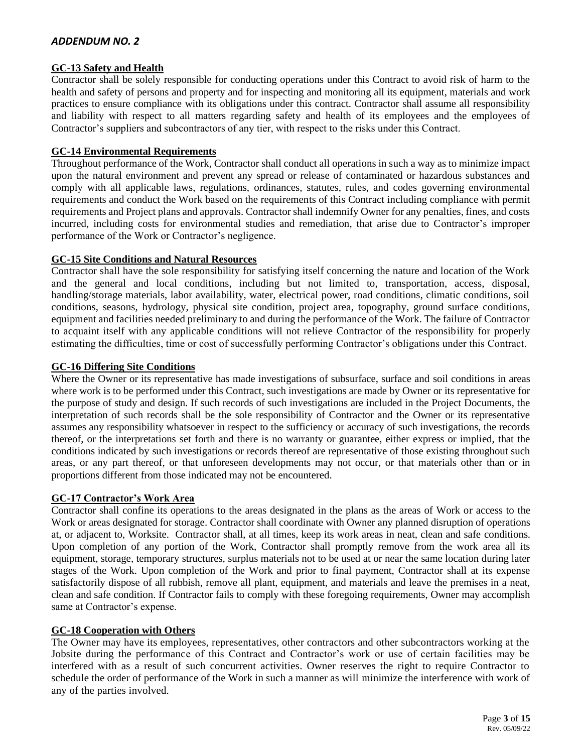## **GC-13 Safety and Health**

Contractor shall be solely responsible for conducting operations under this Contract to avoid risk of harm to the health and safety of persons and property and for inspecting and monitoring all its equipment, materials and work practices to ensure compliance with its obligations under this contract. Contractor shall assume all responsibility and liability with respect to all matters regarding safety and health of its employees and the employees of Contractor's suppliers and subcontractors of any tier, with respect to the risks under this Contract.

## **GC-14 Environmental Requirements**

Throughout performance of the Work, Contractor shall conduct all operations in such a way as to minimize impact upon the natural environment and prevent any spread or release of contaminated or hazardous substances and comply with all applicable laws, regulations, ordinances, statutes, rules, and codes governing environmental requirements and conduct the Work based on the requirements of this Contract including compliance with permit requirements and Project plans and approvals. Contractor shall indemnify Owner for any penalties, fines, and costs incurred, including costs for environmental studies and remediation, that arise due to Contractor's improper performance of the Work or Contractor's negligence.

## **GC-15 Site Conditions and Natural Resources**

Contractor shall have the sole responsibility for satisfying itself concerning the nature and location of the Work and the general and local conditions, including but not limited to, transportation, access, disposal, handling/storage materials, labor availability, water, electrical power, road conditions, climatic conditions, soil conditions, seasons, hydrology, physical site condition, project area, topography, ground surface conditions, equipment and facilities needed preliminary to and during the performance of the Work. The failure of Contractor to acquaint itself with any applicable conditions will not relieve Contractor of the responsibility for properly estimating the difficulties, time or cost of successfully performing Contractor's obligations under this Contract.

#### **GC-16 Differing Site Conditions**

Where the Owner or its representative has made investigations of subsurface, surface and soil conditions in areas where work is to be performed under this Contract, such investigations are made by Owner or its representative for the purpose of study and design. If such records of such investigations are included in the Project Documents, the interpretation of such records shall be the sole responsibility of Contractor and the Owner or its representative assumes any responsibility whatsoever in respect to the sufficiency or accuracy of such investigations, the records thereof, or the interpretations set forth and there is no warranty or guarantee, either express or implied, that the conditions indicated by such investigations or records thereof are representative of those existing throughout such areas, or any part thereof, or that unforeseen developments may not occur, or that materials other than or in proportions different from those indicated may not be encountered.

## **GC-17 Contractor's Work Area**

Contractor shall confine its operations to the areas designated in the plans as the areas of Work or access to the Work or areas designated for storage. Contractor shall coordinate with Owner any planned disruption of operations at, or adjacent to, Worksite. Contractor shall, at all times, keep its work areas in neat, clean and safe conditions. Upon completion of any portion of the Work, Contractor shall promptly remove from the work area all its equipment, storage, temporary structures, surplus materials not to be used at or near the same location during later stages of the Work. Upon completion of the Work and prior to final payment, Contractor shall at its expense satisfactorily dispose of all rubbish, remove all plant, equipment, and materials and leave the premises in a neat, clean and safe condition. If Contractor fails to comply with these foregoing requirements, Owner may accomplish same at Contractor's expense.

## **GC-18 Cooperation with Others**

The Owner may have its employees, representatives, other contractors and other subcontractors working at the Jobsite during the performance of this Contract and Contractor's work or use of certain facilities may be interfered with as a result of such concurrent activities. Owner reserves the right to require Contractor to schedule the order of performance of the Work in such a manner as will minimize the interference with work of any of the parties involved.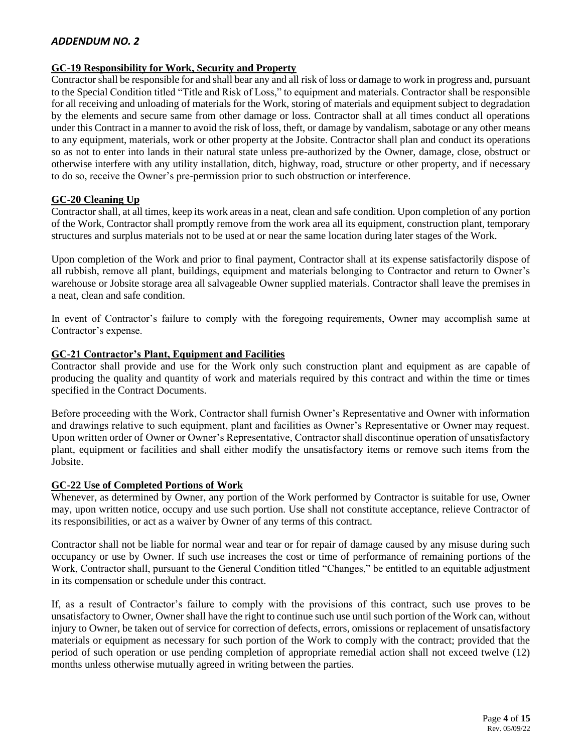## **GC-19 Responsibility for Work, Security and Property**

Contractor shall be responsible for and shall bear any and all risk of loss or damage to work in progress and, pursuant to the Special Condition titled "Title and Risk of Loss," to equipment and materials. Contractor shall be responsible for all receiving and unloading of materials for the Work, storing of materials and equipment subject to degradation by the elements and secure same from other damage or loss. Contractor shall at all times conduct all operations under this Contract in a manner to avoid the risk of loss, theft, or damage by vandalism, sabotage or any other means to any equipment, materials, work or other property at the Jobsite. Contractor shall plan and conduct its operations so as not to enter into lands in their natural state unless pre-authorized by the Owner, damage, close, obstruct or otherwise interfere with any utility installation, ditch, highway, road, structure or other property, and if necessary to do so, receive the Owner's pre-permission prior to such obstruction or interference.

## **GC-20 Cleaning Up**

Contractor shall, at all times, keep its work areas in a neat, clean and safe condition. Upon completion of any portion of the Work, Contractor shall promptly remove from the work area all its equipment, construction plant, temporary structures and surplus materials not to be used at or near the same location during later stages of the Work.

Upon completion of the Work and prior to final payment, Contractor shall at its expense satisfactorily dispose of all rubbish, remove all plant, buildings, equipment and materials belonging to Contractor and return to Owner's warehouse or Jobsite storage area all salvageable Owner supplied materials. Contractor shall leave the premises in a neat, clean and safe condition.

In event of Contractor's failure to comply with the foregoing requirements, Owner may accomplish same at Contractor's expense.

#### **GC-21 Contractor's Plant, Equipment and Facilities**

Contractor shall provide and use for the Work only such construction plant and equipment as are capable of producing the quality and quantity of work and materials required by this contract and within the time or times specified in the Contract Documents.

Before proceeding with the Work, Contractor shall furnish Owner's Representative and Owner with information and drawings relative to such equipment, plant and facilities as Owner's Representative or Owner may request. Upon written order of Owner or Owner's Representative, Contractor shall discontinue operation of unsatisfactory plant, equipment or facilities and shall either modify the unsatisfactory items or remove such items from the Jobsite.

## **GC-22 Use of Completed Portions of Work**

Whenever, as determined by Owner, any portion of the Work performed by Contractor is suitable for use, Owner may, upon written notice, occupy and use such portion. Use shall not constitute acceptance, relieve Contractor of its responsibilities, or act as a waiver by Owner of any terms of this contract.

Contractor shall not be liable for normal wear and tear or for repair of damage caused by any misuse during such occupancy or use by Owner. If such use increases the cost or time of performance of remaining portions of the Work, Contractor shall, pursuant to the General Condition titled "Changes," be entitled to an equitable adjustment in its compensation or schedule under this contract.

If, as a result of Contractor's failure to comply with the provisions of this contract, such use proves to be unsatisfactory to Owner, Owner shall have the right to continue such use until such portion of the Work can, without injury to Owner, be taken out of service for correction of defects, errors, omissions or replacement of unsatisfactory materials or equipment as necessary for such portion of the Work to comply with the contract; provided that the period of such operation or use pending completion of appropriate remedial action shall not exceed twelve (12) months unless otherwise mutually agreed in writing between the parties.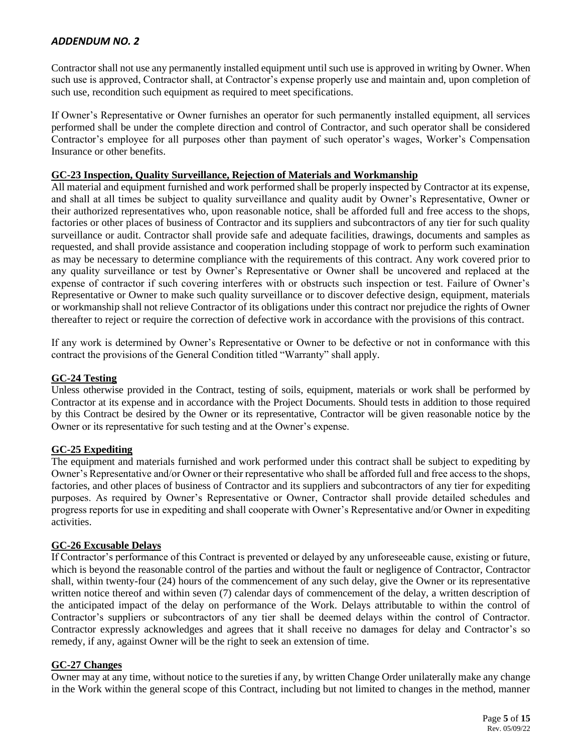Contractor shall not use any permanently installed equipment until such use is approved in writing by Owner. When such use is approved, Contractor shall, at Contractor's expense properly use and maintain and, upon completion of such use, recondition such equipment as required to meet specifications.

If Owner's Representative or Owner furnishes an operator for such permanently installed equipment, all services performed shall be under the complete direction and control of Contractor, and such operator shall be considered Contractor's employee for all purposes other than payment of such operator's wages, Worker's Compensation Insurance or other benefits.

## **GC-23 Inspection, Quality Surveillance, Rejection of Materials and Workmanship**

All material and equipment furnished and work performed shall be properly inspected by Contractor at its expense, and shall at all times be subject to quality surveillance and quality audit by Owner's Representative, Owner or their authorized representatives who, upon reasonable notice, shall be afforded full and free access to the shops, factories or other places of business of Contractor and its suppliers and subcontractors of any tier for such quality surveillance or audit. Contractor shall provide safe and adequate facilities, drawings, documents and samples as requested, and shall provide assistance and cooperation including stoppage of work to perform such examination as may be necessary to determine compliance with the requirements of this contract. Any work covered prior to any quality surveillance or test by Owner's Representative or Owner shall be uncovered and replaced at the expense of contractor if such covering interferes with or obstructs such inspection or test. Failure of Owner's Representative or Owner to make such quality surveillance or to discover defective design, equipment, materials or workmanship shall not relieve Contractor of its obligations under this contract nor prejudice the rights of Owner thereafter to reject or require the correction of defective work in accordance with the provisions of this contract.

If any work is determined by Owner's Representative or Owner to be defective or not in conformance with this contract the provisions of the General Condition titled "Warranty" shall apply.

## **GC-24 Testing**

Unless otherwise provided in the Contract, testing of soils, equipment, materials or work shall be performed by Contractor at its expense and in accordance with the Project Documents. Should tests in addition to those required by this Contract be desired by the Owner or its representative, Contractor will be given reasonable notice by the Owner or its representative for such testing and at the Owner's expense.

## **GC-25 Expediting**

The equipment and materials furnished and work performed under this contract shall be subject to expediting by Owner's Representative and/or Owner or their representative who shall be afforded full and free access to the shops, factories, and other places of business of Contractor and its suppliers and subcontractors of any tier for expediting purposes. As required by Owner's Representative or Owner, Contractor shall provide detailed schedules and progress reports for use in expediting and shall cooperate with Owner's Representative and/or Owner in expediting activities.

## **GC-26 Excusable Delays**

If Contractor's performance of this Contract is prevented or delayed by any unforeseeable cause, existing or future, which is beyond the reasonable control of the parties and without the fault or negligence of Contractor, Contractor shall, within twenty-four (24) hours of the commencement of any such delay, give the Owner or its representative written notice thereof and within seven (7) calendar days of commencement of the delay, a written description of the anticipated impact of the delay on performance of the Work. Delays attributable to within the control of Contractor's suppliers or subcontractors of any tier shall be deemed delays within the control of Contractor. Contractor expressly acknowledges and agrees that it shall receive no damages for delay and Contractor's so remedy, if any, against Owner will be the right to seek an extension of time.

## **GC-27 Changes**

Owner may at any time, without notice to the sureties if any, by written Change Order unilaterally make any change in the Work within the general scope of this Contract, including but not limited to changes in the method, manner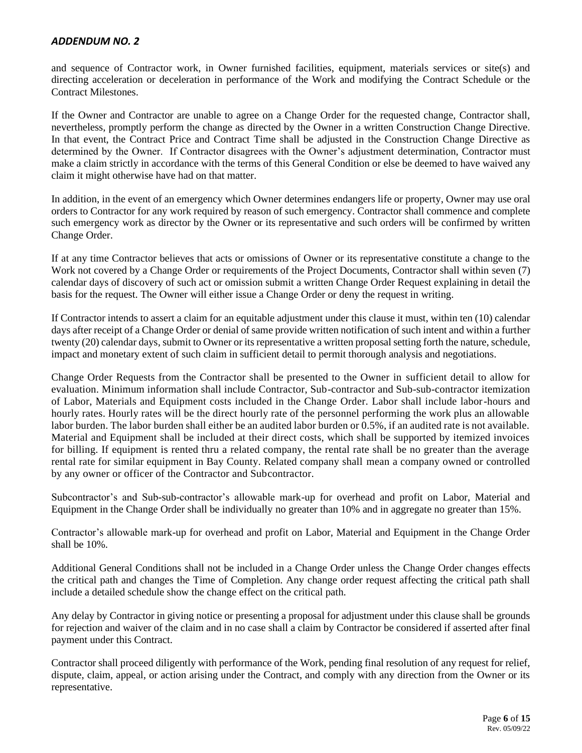and sequence of Contractor work, in Owner furnished facilities, equipment, materials services or site(s) and directing acceleration or deceleration in performance of the Work and modifying the Contract Schedule or the Contract Milestones.

If the Owner and Contractor are unable to agree on a Change Order for the requested change, Contractor shall, nevertheless, promptly perform the change as directed by the Owner in a written Construction Change Directive. In that event, the Contract Price and Contract Time shall be adjusted in the Construction Change Directive as determined by the Owner. If Contractor disagrees with the Owner's adjustment determination, Contractor must make a claim strictly in accordance with the terms of this General Condition or else be deemed to have waived any claim it might otherwise have had on that matter.

In addition, in the event of an emergency which Owner determines endangers life or property, Owner may use oral orders to Contractor for any work required by reason of such emergency. Contractor shall commence and complete such emergency work as director by the Owner or its representative and such orders will be confirmed by written Change Order.

If at any time Contractor believes that acts or omissions of Owner or its representative constitute a change to the Work not covered by a Change Order or requirements of the Project Documents, Contractor shall within seven (7) calendar days of discovery of such act or omission submit a written Change Order Request explaining in detail the basis for the request. The Owner will either issue a Change Order or deny the request in writing.

If Contractor intends to assert a claim for an equitable adjustment under this clause it must, within ten (10) calendar days after receipt of a Change Order or denial of same provide written notification of such intent and within a further twenty (20) calendar days, submit to Owner or its representative a written proposal setting forth the nature, schedule, impact and monetary extent of such claim in sufficient detail to permit thorough analysis and negotiations.

Change Order Requests from the Contractor shall be presented to the Owner in sufficient detail to allow for evaluation. Minimum information shall include Contractor, Sub-contractor and Sub-sub-contractor itemization of Labor, Materials and Equipment costs included in the Change Order. Labor shall include labor-hours and hourly rates. Hourly rates will be the direct hourly rate of the personnel performing the work plus an allowable labor burden. The labor burden shall either be an audited labor burden or 0.5%, if an audited rate is not available. Material and Equipment shall be included at their direct costs, which shall be supported by itemized invoices for billing. If equipment is rented thru a related company, the rental rate shall be no greater than the average rental rate for similar equipment in Bay County. Related company shall mean a company owned or controlled by any owner or officer of the Contractor and Subcontractor.

Subcontractor's and Sub-sub-contractor's allowable mark-up for overhead and profit on Labor, Material and Equipment in the Change Order shall be individually no greater than 10% and in aggregate no greater than 15%.

Contractor's allowable mark-up for overhead and profit on Labor, Material and Equipment in the Change Order shall be 10%.

Additional General Conditions shall not be included in a Change Order unless the Change Order changes effects the critical path and changes the Time of Completion. Any change order request affecting the critical path shall include a detailed schedule show the change effect on the critical path.

Any delay by Contractor in giving notice or presenting a proposal for adjustment under this clause shall be grounds for rejection and waiver of the claim and in no case shall a claim by Contractor be considered if asserted after final payment under this Contract.

Contractor shall proceed diligently with performance of the Work, pending final resolution of any request for relief, dispute, claim, appeal, or action arising under the Contract, and comply with any direction from the Owner or its representative.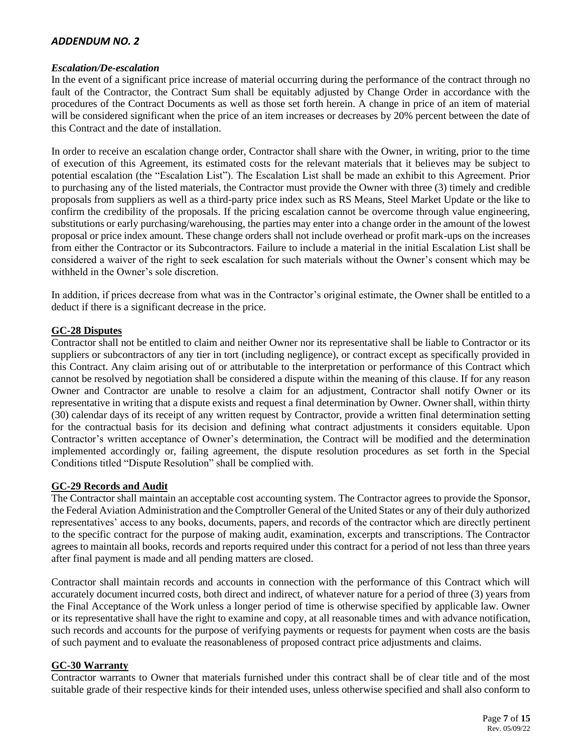#### *Escalation/De-escalation*

In the event of a significant price increase of material occurring during the performance of the contract through no fault of the Contractor, the Contract Sum shall be equitably adjusted by Change Order in accordance with the procedures of the Contract Documents as well as those set forth herein. A change in price of an item of material will be considered significant when the price of an item increases or decreases by 20% percent between the date of this Contract and the date of installation.

In order to receive an escalation change order, Contractor shall share with the Owner, in writing, prior to the time of execution of this Agreement, its estimated costs for the relevant materials that it believes may be subject to potential escalation (the "Escalation List"). The Escalation List shall be made an exhibit to this Agreement. Prior to purchasing any of the listed materials, the Contractor must provide the Owner with three (3) timely and credible proposals from suppliers as well as a third-party price index such as RS Means, Steel Market Update or the like to confirm the credibility of the proposals. If the pricing escalation cannot be overcome through value engineering, substitutions or early purchasing/warehousing, the parties may enter into a change order in the amount of the lowest proposal or price index amount. These change orders shall not include overhead or profit mark-ups on the increases from either the Contractor or its Subcontractors. Failure to include a material in the initial Escalation List shall be considered a waiver of the right to seek escalation for such materials without the Owner's consent which may be withheld in the Owner's sole discretion.

In addition, if prices decrease from what was in the Contractor's original estimate, the Owner shall be entitled to a deduct if there is a significant decrease in the price.

## **GC-28 Disputes**

Contractor shall not be entitled to claim and neither Owner nor its representative shall be liable to Contractor or its suppliers or subcontractors of any tier in tort (including negligence), or contract except as specifically provided in this Contract. Any claim arising out of or attributable to the interpretation or performance of this Contract which cannot be resolved by negotiation shall be considered a dispute within the meaning of this clause. If for any reason Owner and Contractor are unable to resolve a claim for an adjustment, Contractor shall notify Owner or its representative in writing that a dispute exists and request a final determination by Owner. Owner shall, within thirty (30) calendar days of its receipt of any written request by Contractor, provide a written final determination setting for the contractual basis for its decision and defining what contract adjustments it considers equitable. Upon Contractor's written acceptance of Owner's determination, the Contract will be modified and the determination implemented accordingly or, failing agreement, the dispute resolution procedures as set forth in the Special Conditions titled "Dispute Resolution" shall be complied with.

## **GC-29 Records and Audit**

The Contractor shall maintain an acceptable cost accounting system. The Contractor agrees to provide the Sponsor, the Federal Aviation Administration and the Comptroller General of the United States or any of their duly authorized representatives' access to any books, documents, papers, and records of the contractor which are directly pertinent to the specific contract for the purpose of making audit, examination, excerpts and transcriptions. The Contractor agrees to maintain all books, records and reports required under this contract for a period of not less than three years after final payment is made and all pending matters are closed.

Contractor shall maintain records and accounts in connection with the performance of this Contract which will accurately document incurred costs, both direct and indirect, of whatever nature for a period of three (3) years from the Final Acceptance of the Work unless a longer period of time is otherwise specified by applicable law. Owner or its representative shall have the right to examine and copy, at all reasonable times and with advance notification, such records and accounts for the purpose of verifying payments or requests for payment when costs are the basis of such payment and to evaluate the reasonableness of proposed contract price adjustments and claims.

#### **GC-30 Warranty**

Contractor warrants to Owner that materials furnished under this contract shall be of clear title and of the most suitable grade of their respective kinds for their intended uses, unless otherwise specified and shall also conform to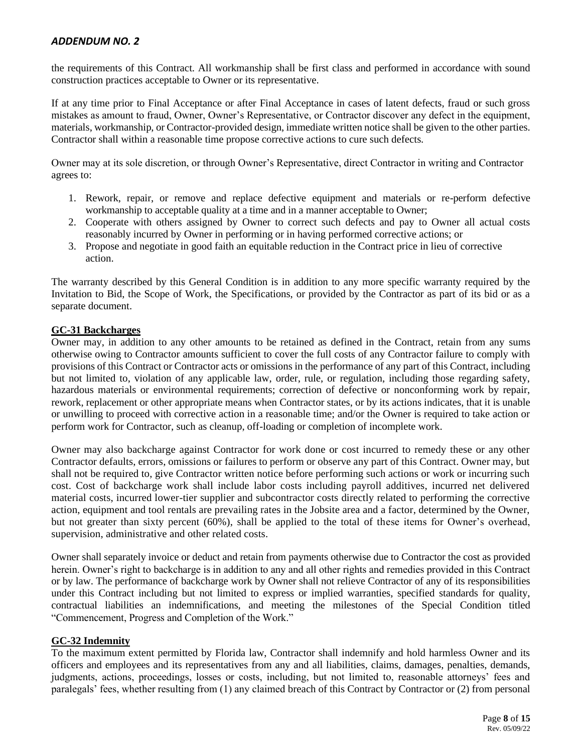the requirements of this Contract. All workmanship shall be first class and performed in accordance with sound construction practices acceptable to Owner or its representative.

If at any time prior to Final Acceptance or after Final Acceptance in cases of latent defects, fraud or such gross mistakes as amount to fraud, Owner, Owner's Representative, or Contractor discover any defect in the equipment, materials, workmanship, or Contractor-provided design, immediate written notice shall be given to the other parties. Contractor shall within a reasonable time propose corrective actions to cure such defects.

Owner may at its sole discretion, or through Owner's Representative, direct Contractor in writing and Contractor agrees to:

- 1. Rework, repair, or remove and replace defective equipment and materials or re-perform defective workmanship to acceptable quality at a time and in a manner acceptable to Owner;
- 2. Cooperate with others assigned by Owner to correct such defects and pay to Owner all actual costs reasonably incurred by Owner in performing or in having performed corrective actions; or
- 3. Propose and negotiate in good faith an equitable reduction in the Contract price in lieu of corrective action.

The warranty described by this General Condition is in addition to any more specific warranty required by the Invitation to Bid, the Scope of Work, the Specifications, or provided by the Contractor as part of its bid or as a separate document.

## **GC-31 Backcharges**

Owner may, in addition to any other amounts to be retained as defined in the Contract, retain from any sums otherwise owing to Contractor amounts sufficient to cover the full costs of any Contractor failure to comply with provisions of this Contract or Contractor acts or omissions in the performance of any part of this Contract, including but not limited to, violation of any applicable law, order, rule, or regulation, including those regarding safety, hazardous materials or environmental requirements; correction of defective or nonconforming work by repair, rework, replacement or other appropriate means when Contractor states, or by its actions indicates, that it is unable or unwilling to proceed with corrective action in a reasonable time; and/or the Owner is required to take action or perform work for Contractor, such as cleanup, off-loading or completion of incomplete work.

Owner may also backcharge against Contractor for work done or cost incurred to remedy these or any other Contractor defaults, errors, omissions or failures to perform or observe any part of this Contract. Owner may, but shall not be required to, give Contractor written notice before performing such actions or work or incurring such cost. Cost of backcharge work shall include labor costs including payroll additives, incurred net delivered material costs, incurred lower-tier supplier and subcontractor costs directly related to performing the corrective action, equipment and tool rentals are prevailing rates in the Jobsite area and a factor, determined by the Owner, but not greater than sixty percent (60%), shall be applied to the total of these items for Owner's overhead, supervision, administrative and other related costs.

Owner shall separately invoice or deduct and retain from payments otherwise due to Contractor the cost as provided herein. Owner's right to backcharge is in addition to any and all other rights and remedies provided in this Contract or by law. The performance of backcharge work by Owner shall not relieve Contractor of any of its responsibilities under this Contract including but not limited to express or implied warranties, specified standards for quality, contractual liabilities an indemnifications, and meeting the milestones of the Special Condition titled "Commencement, Progress and Completion of the Work."

## **GC-32 Indemnity**

To the maximum extent permitted by Florida law, Contractor shall indemnify and hold harmless Owner and its officers and employees and its representatives from any and all liabilities, claims, damages, penalties, demands, judgments, actions, proceedings, losses or costs, including, but not limited to, reasonable attorneys' fees and paralegals' fees, whether resulting from (1) any claimed breach of this Contract by Contractor or (2) from personal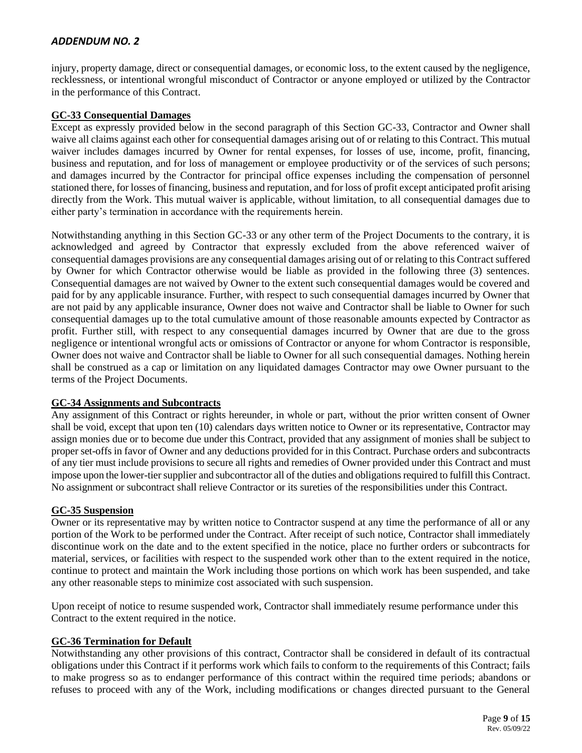injury, property damage, direct or consequential damages, or economic loss, to the extent caused by the negligence, recklessness, or intentional wrongful misconduct of Contractor or anyone employed or utilized by the Contractor in the performance of this Contract.

## **GC-33 Consequential Damages**

Except as expressly provided below in the second paragraph of this Section GC-33, Contractor and Owner shall waive all claims against each other for consequential damages arising out of or relating to this Contract. This mutual waiver includes damages incurred by Owner for rental expenses, for losses of use, income, profit, financing, business and reputation, and for loss of management or employee productivity or of the services of such persons; and damages incurred by the Contractor for principal office expenses including the compensation of personnel stationed there, for losses of financing, business and reputation, and for loss of profit except anticipated profit arising directly from the Work. This mutual waiver is applicable, without limitation, to all consequential damages due to either party's termination in accordance with the requirements herein.

Notwithstanding anything in this Section GC-33 or any other term of the Project Documents to the contrary, it is acknowledged and agreed by Contractor that expressly excluded from the above referenced waiver of consequential damages provisions are any consequential damages arising out of or relating to this Contract suffered by Owner for which Contractor otherwise would be liable as provided in the following three (3) sentences. Consequential damages are not waived by Owner to the extent such consequential damages would be covered and paid for by any applicable insurance. Further, with respect to such consequential damages incurred by Owner that are not paid by any applicable insurance, Owner does not waive and Contractor shall be liable to Owner for such consequential damages up to the total cumulative amount of those reasonable amounts expected by Contractor as profit. Further still, with respect to any consequential damages incurred by Owner that are due to the gross negligence or intentional wrongful acts or omissions of Contractor or anyone for whom Contractor is responsible, Owner does not waive and Contractor shall be liable to Owner for all such consequential damages. Nothing herein shall be construed as a cap or limitation on any liquidated damages Contractor may owe Owner pursuant to the terms of the Project Documents.

## **GC-34 Assignments and Subcontracts**

Any assignment of this Contract or rights hereunder, in whole or part, without the prior written consent of Owner shall be void, except that upon ten (10) calendars days written notice to Owner or its representative, Contractor may assign monies due or to become due under this Contract, provided that any assignment of monies shall be subject to proper set-offs in favor of Owner and any deductions provided for in this Contract. Purchase orders and subcontracts of any tier must include provisions to secure all rights and remedies of Owner provided under this Contract and must impose upon the lower-tier supplier and subcontractor all of the duties and obligations required to fulfill this Contract. No assignment or subcontract shall relieve Contractor or its sureties of the responsibilities under this Contract.

#### **GC-35 Suspension**

Owner or its representative may by written notice to Contractor suspend at any time the performance of all or any portion of the Work to be performed under the Contract. After receipt of such notice, Contractor shall immediately discontinue work on the date and to the extent specified in the notice, place no further orders or subcontracts for material, services, or facilities with respect to the suspended work other than to the extent required in the notice, continue to protect and maintain the Work including those portions on which work has been suspended, and take any other reasonable steps to minimize cost associated with such suspension.

Upon receipt of notice to resume suspended work, Contractor shall immediately resume performance under this Contract to the extent required in the notice.

#### **GC-36 Termination for Default**

Notwithstanding any other provisions of this contract, Contractor shall be considered in default of its contractual obligations under this Contract if it performs work which fails to conform to the requirements of this Contract; fails to make progress so as to endanger performance of this contract within the required time periods; abandons or refuses to proceed with any of the Work, including modifications or changes directed pursuant to the General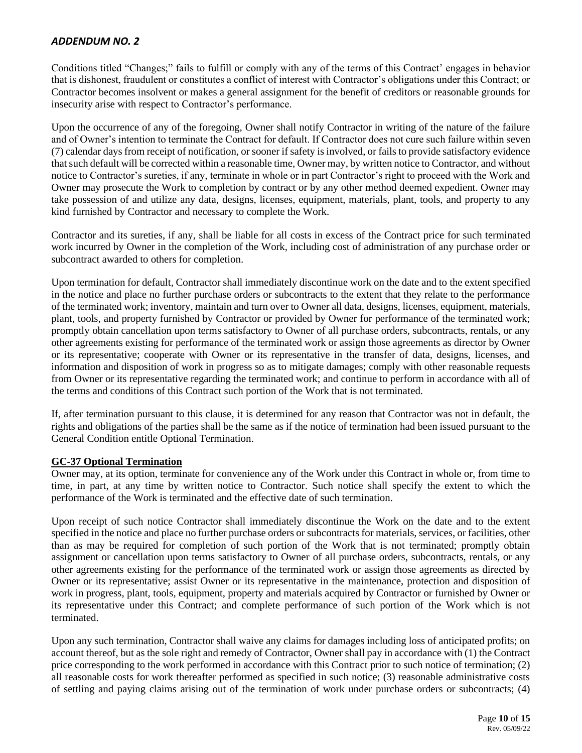Conditions titled "Changes;" fails to fulfill or comply with any of the terms of this Contract' engages in behavior that is dishonest, fraudulent or constitutes a conflict of interest with Contractor's obligations under this Contract; or Contractor becomes insolvent or makes a general assignment for the benefit of creditors or reasonable grounds for insecurity arise with respect to Contractor's performance.

Upon the occurrence of any of the foregoing, Owner shall notify Contractor in writing of the nature of the failure and of Owner's intention to terminate the Contract for default. If Contractor does not cure such failure within seven (7) calendar days from receipt of notification, or sooner if safety is involved, or fails to provide satisfactory evidence that such default will be corrected within a reasonable time, Owner may, by written notice to Contractor, and without notice to Contractor's sureties, if any, terminate in whole or in part Contractor's right to proceed with the Work and Owner may prosecute the Work to completion by contract or by any other method deemed expedient. Owner may take possession of and utilize any data, designs, licenses, equipment, materials, plant, tools, and property to any kind furnished by Contractor and necessary to complete the Work.

Contractor and its sureties, if any, shall be liable for all costs in excess of the Contract price for such terminated work incurred by Owner in the completion of the Work, including cost of administration of any purchase order or subcontract awarded to others for completion.

Upon termination for default, Contractor shall immediately discontinue work on the date and to the extent specified in the notice and place no further purchase orders or subcontracts to the extent that they relate to the performance of the terminated work; inventory, maintain and turn over to Owner all data, designs, licenses, equipment, materials, plant, tools, and property furnished by Contractor or provided by Owner for performance of the terminated work; promptly obtain cancellation upon terms satisfactory to Owner of all purchase orders, subcontracts, rentals, or any other agreements existing for performance of the terminated work or assign those agreements as director by Owner or its representative; cooperate with Owner or its representative in the transfer of data, designs, licenses, and information and disposition of work in progress so as to mitigate damages; comply with other reasonable requests from Owner or its representative regarding the terminated work; and continue to perform in accordance with all of the terms and conditions of this Contract such portion of the Work that is not terminated.

If, after termination pursuant to this clause, it is determined for any reason that Contractor was not in default, the rights and obligations of the parties shall be the same as if the notice of termination had been issued pursuant to the General Condition entitle Optional Termination.

## **GC-37 Optional Termination**

Owner may, at its option, terminate for convenience any of the Work under this Contract in whole or, from time to time, in part, at any time by written notice to Contractor. Such notice shall specify the extent to which the performance of the Work is terminated and the effective date of such termination.

Upon receipt of such notice Contractor shall immediately discontinue the Work on the date and to the extent specified in the notice and place no further purchase orders or subcontracts for materials, services, or facilities, other than as may be required for completion of such portion of the Work that is not terminated; promptly obtain assignment or cancellation upon terms satisfactory to Owner of all purchase orders, subcontracts, rentals, or any other agreements existing for the performance of the terminated work or assign those agreements as directed by Owner or its representative; assist Owner or its representative in the maintenance, protection and disposition of work in progress, plant, tools, equipment, property and materials acquired by Contractor or furnished by Owner or its representative under this Contract; and complete performance of such portion of the Work which is not terminated.

Upon any such termination, Contractor shall waive any claims for damages including loss of anticipated profits; on account thereof, but as the sole right and remedy of Contractor, Owner shall pay in accordance with (1) the Contract price corresponding to the work performed in accordance with this Contract prior to such notice of termination; (2) all reasonable costs for work thereafter performed as specified in such notice; (3) reasonable administrative costs of settling and paying claims arising out of the termination of work under purchase orders or subcontracts; (4)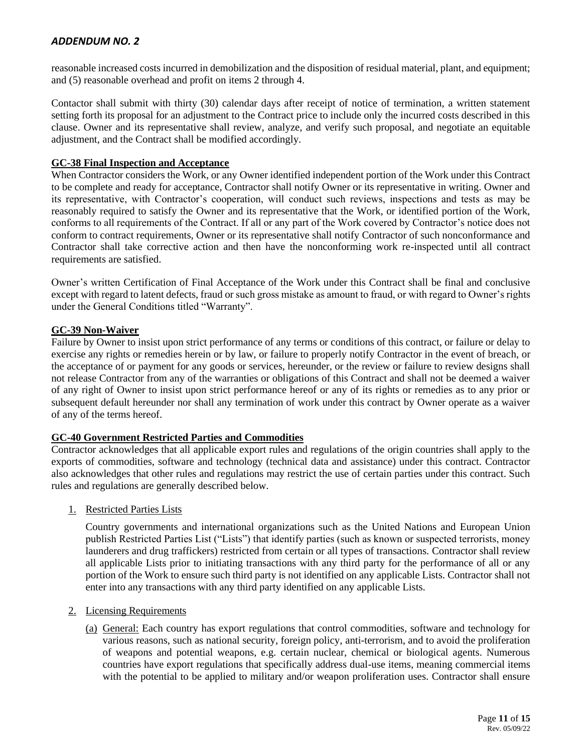reasonable increased costs incurred in demobilization and the disposition of residual material, plant, and equipment; and (5) reasonable overhead and profit on items 2 through 4.

Contactor shall submit with thirty (30) calendar days after receipt of notice of termination, a written statement setting forth its proposal for an adjustment to the Contract price to include only the incurred costs described in this clause. Owner and its representative shall review, analyze, and verify such proposal, and negotiate an equitable adjustment, and the Contract shall be modified accordingly.

#### **GC-38 Final Inspection and Acceptance**

When Contractor considers the Work, or any Owner identified independent portion of the Work under this Contract to be complete and ready for acceptance, Contractor shall notify Owner or its representative in writing. Owner and its representative, with Contractor's cooperation, will conduct such reviews, inspections and tests as may be reasonably required to satisfy the Owner and its representative that the Work, or identified portion of the Work, conforms to all requirements of the Contract. If all or any part of the Work covered by Contractor's notice does not conform to contract requirements, Owner or its representative shall notify Contractor of such nonconformance and Contractor shall take corrective action and then have the nonconforming work re-inspected until all contract requirements are satisfied.

Owner's written Certification of Final Acceptance of the Work under this Contract shall be final and conclusive except with regard to latent defects, fraud or such gross mistake as amount to fraud, or with regard to Owner's rights under the General Conditions titled "Warranty".

#### **GC-39 Non-Waiver**

Failure by Owner to insist upon strict performance of any terms or conditions of this contract, or failure or delay to exercise any rights or remedies herein or by law, or failure to properly notify Contractor in the event of breach, or the acceptance of or payment for any goods or services, hereunder, or the review or failure to review designs shall not release Contractor from any of the warranties or obligations of this Contract and shall not be deemed a waiver of any right of Owner to insist upon strict performance hereof or any of its rights or remedies as to any prior or subsequent default hereunder nor shall any termination of work under this contract by Owner operate as a waiver of any of the terms hereof.

#### **GC-40 Government Restricted Parties and Commodities**

Contractor acknowledges that all applicable export rules and regulations of the origin countries shall apply to the exports of commodities, software and technology (technical data and assistance) under this contract. Contractor also acknowledges that other rules and regulations may restrict the use of certain parties under this contract. Such rules and regulations are generally described below.

1. Restricted Parties Lists

Country governments and international organizations such as the United Nations and European Union publish Restricted Parties List ("Lists") that identify parties (such as known or suspected terrorists, money launderers and drug traffickers) restricted from certain or all types of transactions. Contractor shall review all applicable Lists prior to initiating transactions with any third party for the performance of all or any portion of the Work to ensure such third party is not identified on any applicable Lists. Contractor shall not enter into any transactions with any third party identified on any applicable Lists.

#### 2. Licensing Requirements

(a) General: Each country has export regulations that control commodities, software and technology for various reasons, such as national security, foreign policy, anti-terrorism, and to avoid the proliferation of weapons and potential weapons, e.g. certain nuclear, chemical or biological agents. Numerous countries have export regulations that specifically address dual-use items, meaning commercial items with the potential to be applied to military and/or weapon proliferation uses. Contractor shall ensure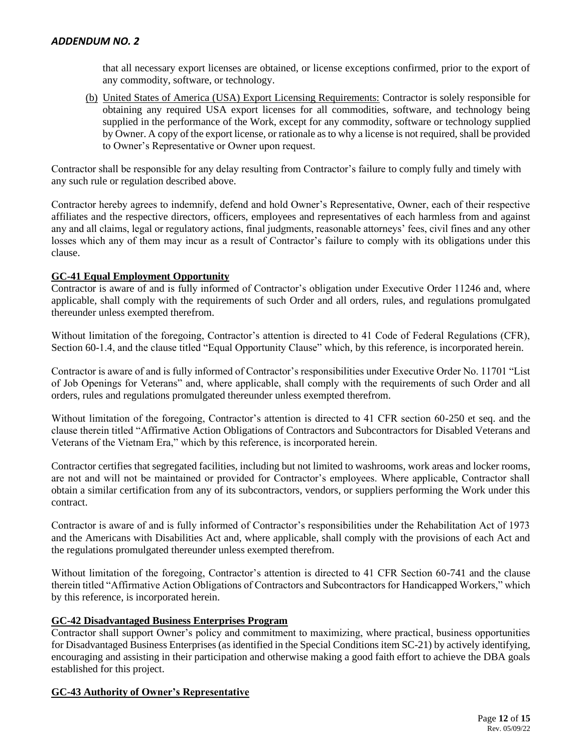that all necessary export licenses are obtained, or license exceptions confirmed, prior to the export of any commodity, software, or technology.

(b) United States of America (USA) Export Licensing Requirements: Contractor is solely responsible for obtaining any required USA export licenses for all commodities, software, and technology being supplied in the performance of the Work, except for any commodity, software or technology supplied by Owner. A copy of the export license, or rationale as to why a license is not required, shall be provided to Owner's Representative or Owner upon request.

Contractor shall be responsible for any delay resulting from Contractor's failure to comply fully and timely with any such rule or regulation described above.

Contractor hereby agrees to indemnify, defend and hold Owner's Representative, Owner, each of their respective affiliates and the respective directors, officers, employees and representatives of each harmless from and against any and all claims, legal or regulatory actions, final judgments, reasonable attorneys' fees, civil fines and any other losses which any of them may incur as a result of Contractor's failure to comply with its obligations under this clause.

## **GC-41 Equal Employment Opportunity**

Contractor is aware of and is fully informed of Contractor's obligation under Executive Order 11246 and, where applicable, shall comply with the requirements of such Order and all orders, rules, and regulations promulgated thereunder unless exempted therefrom.

Without limitation of the foregoing, Contractor's attention is directed to 41 Code of Federal Regulations (CFR), Section 60-1.4, and the clause titled "Equal Opportunity Clause" which, by this reference, is incorporated herein.

Contractor is aware of and is fully informed of Contractor's responsibilities under Executive Order No. 11701 "List of Job Openings for Veterans" and, where applicable, shall comply with the requirements of such Order and all orders, rules and regulations promulgated thereunder unless exempted therefrom.

Without limitation of the foregoing, Contractor's attention is directed to 41 CFR section 60-250 et seq. and the clause therein titled "Affirmative Action Obligations of Contractors and Subcontractors for Disabled Veterans and Veterans of the Vietnam Era," which by this reference, is incorporated herein.

Contractor certifies that segregated facilities, including but not limited to washrooms, work areas and locker rooms, are not and will not be maintained or provided for Contractor's employees. Where applicable, Contractor shall obtain a similar certification from any of its subcontractors, vendors, or suppliers performing the Work under this contract.

Contractor is aware of and is fully informed of Contractor's responsibilities under the Rehabilitation Act of 1973 and the Americans with Disabilities Act and, where applicable, shall comply with the provisions of each Act and the regulations promulgated thereunder unless exempted therefrom.

Without limitation of the foregoing, Contractor's attention is directed to 41 CFR Section 60-741 and the clause therein titled "Affirmative Action Obligations of Contractors and Subcontractors for Handicapped Workers," which by this reference, is incorporated herein.

#### **GC-42 Disadvantaged Business Enterprises Program**

Contractor shall support Owner's policy and commitment to maximizing, where practical, business opportunities for Disadvantaged Business Enterprises (as identified in the Special Conditions item SC-21) by actively identifying, encouraging and assisting in their participation and otherwise making a good faith effort to achieve the DBA goals established for this project.

## **GC-43 Authority of Owner's Representative**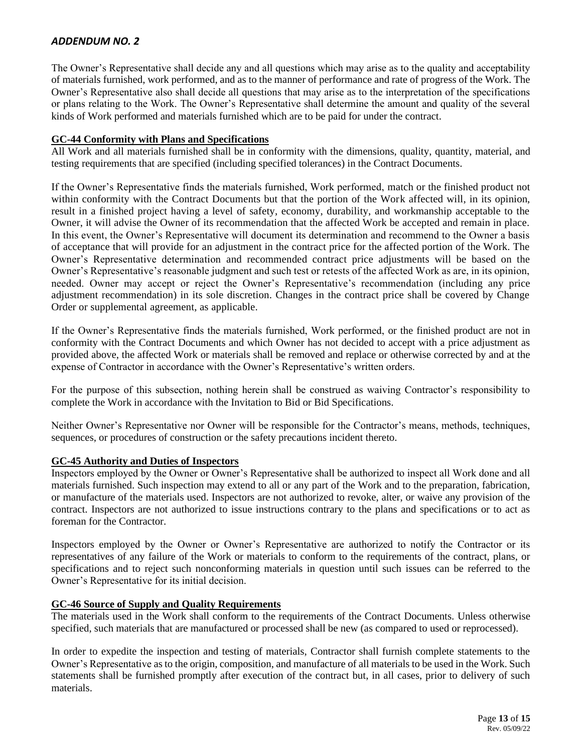The Owner's Representative shall decide any and all questions which may arise as to the quality and acceptability of materials furnished, work performed, and as to the manner of performance and rate of progress of the Work. The Owner's Representative also shall decide all questions that may arise as to the interpretation of the specifications or plans relating to the Work. The Owner's Representative shall determine the amount and quality of the several kinds of Work performed and materials furnished which are to be paid for under the contract.

#### **GC-44 Conformity with Plans and Specifications**

All Work and all materials furnished shall be in conformity with the dimensions, quality, quantity, material, and testing requirements that are specified (including specified tolerances) in the Contract Documents.

If the Owner's Representative finds the materials furnished, Work performed, match or the finished product not within conformity with the Contract Documents but that the portion of the Work affected will, in its opinion, result in a finished project having a level of safety, economy, durability, and workmanship acceptable to the Owner, it will advise the Owner of its recommendation that the affected Work be accepted and remain in place. In this event, the Owner's Representative will document its determination and recommend to the Owner a basis of acceptance that will provide for an adjustment in the contract price for the affected portion of the Work. The Owner's Representative determination and recommended contract price adjustments will be based on the Owner's Representative's reasonable judgment and such test or retests of the affected Work as are, in its opinion, needed. Owner may accept or reject the Owner's Representative's recommendation (including any price adjustment recommendation) in its sole discretion. Changes in the contract price shall be covered by Change Order or supplemental agreement, as applicable.

If the Owner's Representative finds the materials furnished, Work performed, or the finished product are not in conformity with the Contract Documents and which Owner has not decided to accept with a price adjustment as provided above, the affected Work or materials shall be removed and replace or otherwise corrected by and at the expense of Contractor in accordance with the Owner's Representative's written orders.

For the purpose of this subsection, nothing herein shall be construed as waiving Contractor's responsibility to complete the Work in accordance with the Invitation to Bid or Bid Specifications.

Neither Owner's Representative nor Owner will be responsible for the Contractor's means, methods, techniques, sequences, or procedures of construction or the safety precautions incident thereto.

## **GC-45 Authority and Duties of Inspectors**

Inspectors employed by the Owner or Owner's Representative shall be authorized to inspect all Work done and all materials furnished. Such inspection may extend to all or any part of the Work and to the preparation, fabrication, or manufacture of the materials used. Inspectors are not authorized to revoke, alter, or waive any provision of the contract. Inspectors are not authorized to issue instructions contrary to the plans and specifications or to act as foreman for the Contractor.

Inspectors employed by the Owner or Owner's Representative are authorized to notify the Contractor or its representatives of any failure of the Work or materials to conform to the requirements of the contract, plans, or specifications and to reject such nonconforming materials in question until such issues can be referred to the Owner's Representative for its initial decision.

## **GC-46 Source of Supply and Quality Requirements**

The materials used in the Work shall conform to the requirements of the Contract Documents. Unless otherwise specified, such materials that are manufactured or processed shall be new (as compared to used or reprocessed).

In order to expedite the inspection and testing of materials, Contractor shall furnish complete statements to the Owner's Representative as to the origin, composition, and manufacture of all materials to be used in the Work. Such statements shall be furnished promptly after execution of the contract but, in all cases, prior to delivery of such materials.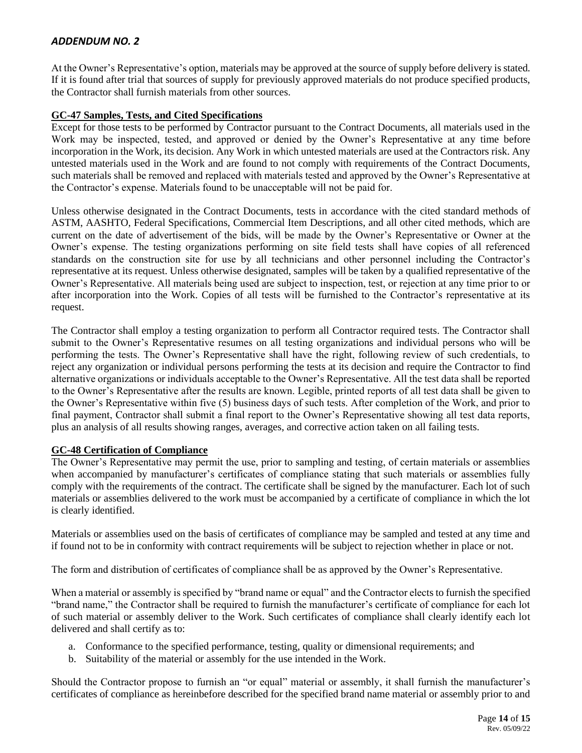At the Owner's Representative's option, materials may be approved at the source of supply before delivery is stated. If it is found after trial that sources of supply for previously approved materials do not produce specified products, the Contractor shall furnish materials from other sources.

#### **GC-47 Samples, Tests, and Cited Specifications**

Except for those tests to be performed by Contractor pursuant to the Contract Documents, all materials used in the Work may be inspected, tested, and approved or denied by the Owner's Representative at any time before incorporation in the Work, its decision. Any Work in which untested materials are used at the Contractors risk. Any untested materials used in the Work and are found to not comply with requirements of the Contract Documents, such materials shall be removed and replaced with materials tested and approved by the Owner's Representative at the Contractor's expense. Materials found to be unacceptable will not be paid for.

Unless otherwise designated in the Contract Documents, tests in accordance with the cited standard methods of ASTM, AASHTO, Federal Specifications, Commercial Item Descriptions, and all other cited methods, which are current on the date of advertisement of the bids, will be made by the Owner's Representative or Owner at the Owner's expense. The testing organizations performing on site field tests shall have copies of all referenced standards on the construction site for use by all technicians and other personnel including the Contractor's representative at its request. Unless otherwise designated, samples will be taken by a qualified representative of the Owner's Representative. All materials being used are subject to inspection, test, or rejection at any time prior to or after incorporation into the Work. Copies of all tests will be furnished to the Contractor's representative at its request.

The Contractor shall employ a testing organization to perform all Contractor required tests. The Contractor shall submit to the Owner's Representative resumes on all testing organizations and individual persons who will be performing the tests. The Owner's Representative shall have the right, following review of such credentials, to reject any organization or individual persons performing the tests at its decision and require the Contractor to find alternative organizations or individuals acceptable to the Owner's Representative. All the test data shall be reported to the Owner's Representative after the results are known. Legible, printed reports of all test data shall be given to the Owner's Representative within five (5) business days of such tests. After completion of the Work, and prior to final payment, Contractor shall submit a final report to the Owner's Representative showing all test data reports, plus an analysis of all results showing ranges, averages, and corrective action taken on all failing tests.

## **GC-48 Certification of Compliance**

The Owner's Representative may permit the use, prior to sampling and testing, of certain materials or assemblies when accompanied by manufacturer's certificates of compliance stating that such materials or assemblies fully comply with the requirements of the contract. The certificate shall be signed by the manufacturer. Each lot of such materials or assemblies delivered to the work must be accompanied by a certificate of compliance in which the lot is clearly identified.

Materials or assemblies used on the basis of certificates of compliance may be sampled and tested at any time and if found not to be in conformity with contract requirements will be subject to rejection whether in place or not.

The form and distribution of certificates of compliance shall be as approved by the Owner's Representative.

When a material or assembly is specified by "brand name or equal" and the Contractor elects to furnish the specified "brand name," the Contractor shall be required to furnish the manufacturer's certificate of compliance for each lot of such material or assembly deliver to the Work. Such certificates of compliance shall clearly identify each lot delivered and shall certify as to:

- a. Conformance to the specified performance, testing, quality or dimensional requirements; and
- b. Suitability of the material or assembly for the use intended in the Work.

Should the Contractor propose to furnish an "or equal" material or assembly, it shall furnish the manufacturer's certificates of compliance as hereinbefore described for the specified brand name material or assembly prior to and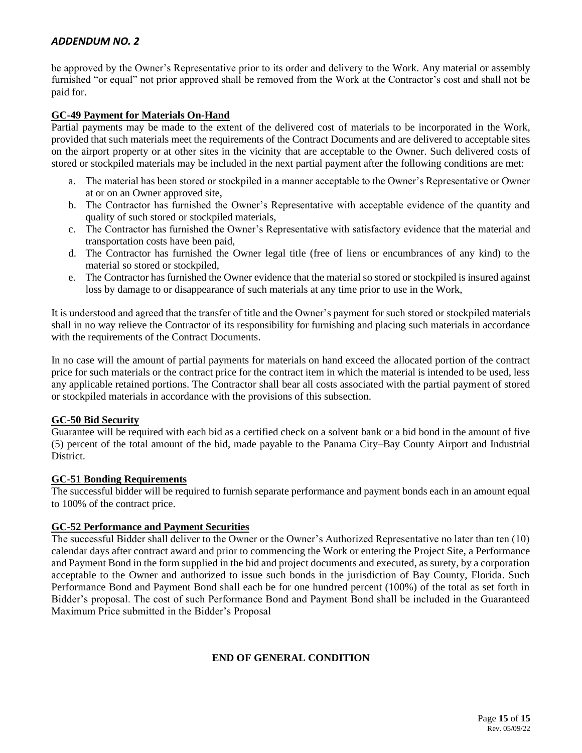be approved by the Owner's Representative prior to its order and delivery to the Work. Any material or assembly furnished "or equal" not prior approved shall be removed from the Work at the Contractor's cost and shall not be paid for.

## **GC-49 Payment for Materials On-Hand**

Partial payments may be made to the extent of the delivered cost of materials to be incorporated in the Work, provided that such materials meet the requirements of the Contract Documents and are delivered to acceptable sites on the airport property or at other sites in the vicinity that are acceptable to the Owner. Such delivered costs of stored or stockpiled materials may be included in the next partial payment after the following conditions are met:

- a. The material has been stored or stockpiled in a manner acceptable to the Owner's Representative or Owner at or on an Owner approved site,
- b. The Contractor has furnished the Owner's Representative with acceptable evidence of the quantity and quality of such stored or stockpiled materials,
- c. The Contractor has furnished the Owner's Representative with satisfactory evidence that the material and transportation costs have been paid,
- d. The Contractor has furnished the Owner legal title (free of liens or encumbrances of any kind) to the material so stored or stockpiled,
- e. The Contractor has furnished the Owner evidence that the material so stored or stockpiled is insured against loss by damage to or disappearance of such materials at any time prior to use in the Work,

It is understood and agreed that the transfer of title and the Owner's payment for such stored or stockpiled materials shall in no way relieve the Contractor of its responsibility for furnishing and placing such materials in accordance with the requirements of the Contract Documents.

In no case will the amount of partial payments for materials on hand exceed the allocated portion of the contract price for such materials or the contract price for the contract item in which the material is intended to be used, less any applicable retained portions. The Contractor shall bear all costs associated with the partial payment of stored or stockpiled materials in accordance with the provisions of this subsection.

## **GC-50 Bid Security**

Guarantee will be required with each bid as a certified check on a solvent bank or a bid bond in the amount of five (5) percent of the total amount of the bid, made payable to the Panama City–Bay County Airport and Industrial District.

## **GC-51 Bonding Requirements**

The successful bidder will be required to furnish separate performance and payment bonds each in an amount equal to 100% of the contract price.

#### **GC-52 Performance and Payment Securities**

The successful Bidder shall deliver to the Owner or the Owner's Authorized Representative no later than ten (10) calendar days after contract award and prior to commencing the Work or entering the Project Site, a Performance and Payment Bond in the form supplied in the bid and project documents and executed, as surety, by a corporation acceptable to the Owner and authorized to issue such bonds in the jurisdiction of Bay County, Florida. Such Performance Bond and Payment Bond shall each be for one hundred percent (100%) of the total as set forth in Bidder's proposal. The cost of such Performance Bond and Payment Bond shall be included in the Guaranteed Maximum Price submitted in the Bidder's Proposal

## **END OF GENERAL CONDITION**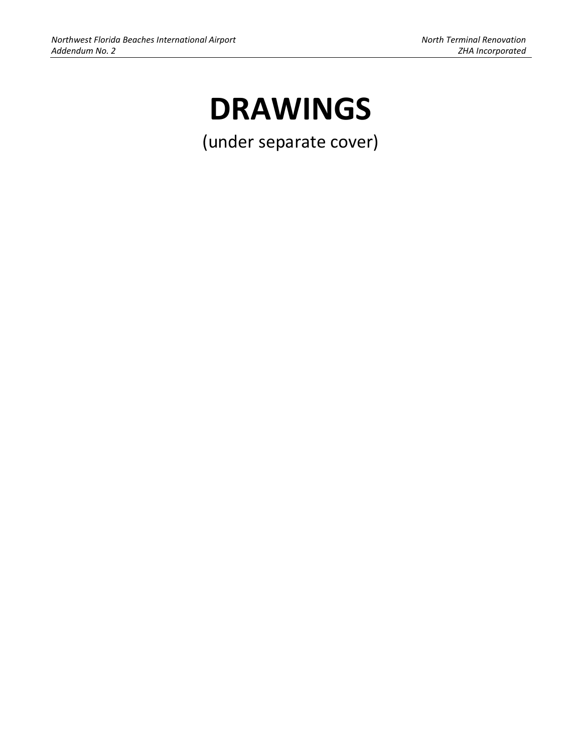# **DRAWINGS**

(under separate cover)